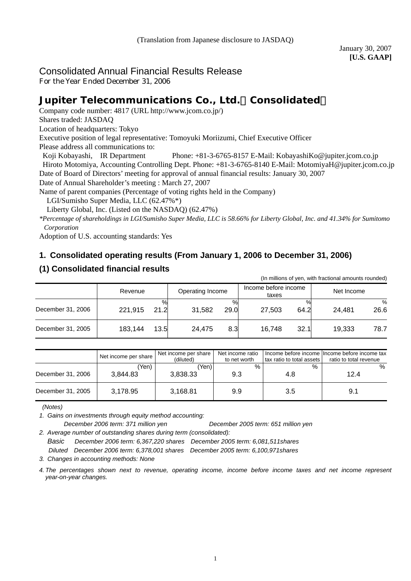# Consolidated Annual Financial Results Release

For the Year Ended December 31, 2006

# **Jupiter Telecommunications Co., Ltd.**(**Consolidated**)

Company code number: 4817 (URL [http://www.jcom.co.jp/](http://www.jcomxxxxxxxxx.co.jp/))

Shares traded: JASDAQ

Location of headquarters: Tokyo

Executive position of legal representative: Tomoyuki Moriizumi, Chief Executive Officer

Please address all communications to:

Koji Kobayashi, IR Department Phone: +81-3-6765-8157 E-Mail: [KobayashiKo@jupiter.jcom.co.jp](mailto:KobayashiKo@jupiter.jcom.co.jp)

Hiroto Motomiya, Accounting Controlling Dept. Phone: +81-3-6765-8140 E-Mail: MotomiyaH@jupiter.jcom.co.jp Date of Board of Directors' meeting for approval of annual financial results: January 30, 2007

Date of Annual Shareholder's meeting : March 27, 2007

Name of parent companies (Percentage of voting rights held in the Company)

LGI/Sumisho Super Media, LLC (62.47%\*)

Liberty Global, Inc. (Listed on the NASDAQ) (62.47%)

*\*Percentage of shareholdings in LGI/Sumisho Super Media, LLC is 58.66% for Liberty Global, Inc. and 41.34% for Sumitomo Corporation*

Adoption of U.S. accounting standards: Yes

# **1. Consolidated operating results (From January 1, 2006 to December 31, 2006)**

# **(1) Consolidated financial results**

|                   |                 |                     |                               | (In millions of yen, with fractional amounts rounded) |
|-------------------|-----------------|---------------------|-------------------------------|-------------------------------------------------------|
|                   | Revenue         | Operating Income    | Income before income<br>taxes | Net Income                                            |
| December 31, 2006 | 21.2<br>221.915 | %<br>29.0<br>31,582 | 64.2<br>27.503                | %<br>26.6<br>24.481                                   |
| December 31, 2005 | 183,144<br>13.5 | 8.3<br>24,475       | 32.1<br>16.748                | 19.333<br>78.7                                        |

|                   | Net income per share | Net income per share<br>(diluted) | Net income ratio<br>to net worth | tax ratio to total assets I | Income before income Income before income tax<br>ratio to total revenue |
|-------------------|----------------------|-----------------------------------|----------------------------------|-----------------------------|-------------------------------------------------------------------------|
| December 31, 2006 | 'Yen)<br>3.844.83    | 'Yen).<br>3.838.33                | $\%$<br>9.3                      | $\%$<br>4.8                 | %<br>12.4                                                               |
| December 31, 2005 | 3.178.95             | 3.168.81                          | 9.9                              | 3.5                         | 9.1                                                                     |

 *(Notes)* 

*1. Gains on investments through equity method accounting:* 

*December 2006 term: 371 million yen December 2005 term: 651 million yen* 

*2. Average number of outstanding shares during term (consolidated):* 

*Basic December 2006 term: 6,367,220 shares December 2005 term: 6,081,511shares Diluted December 2006 term: 6,378,001 shares December 2005 term: 6,100,971shares* 

*3. Changes in accounting methods: None*

*4. The percentages shown next to revenue, operating income, income before income taxes and net income represent year-on-year changes.*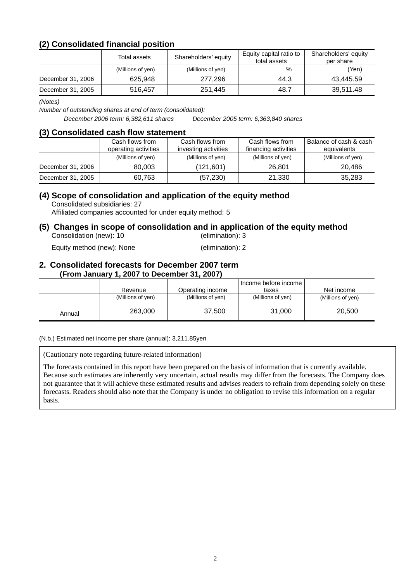# **(2) Consolidated financial position**

|                   | Total assets      | Shareholders' equity | Equity capital ratio to<br>total assets | Shareholders' equity<br>per share |
|-------------------|-------------------|----------------------|-----------------------------------------|-----------------------------------|
|                   | (Millions of yen) | (Millions of yen)    | %                                       | (Yen)                             |
| December 31, 2006 | 625.948           | 277.296              | 44.3                                    | 43.445.59                         |
| December 31, 2005 | 516,457           | 251,445              | 48.7                                    | 39,511.48                         |

*(Notes)* 

*Number of outstanding shares at end of term (consolidated):* 

*December 2006 term: 6,382,611 shares December 2005 term: 6,363,840 shares*

#### **(3) Consolidated cash flow statement**

|                   | Cash flows from<br>operating activities | Cash flows from<br>investing activities | Cash flows from<br>financing activities | Balance of cash & cash<br>equivalents |
|-------------------|-----------------------------------------|-----------------------------------------|-----------------------------------------|---------------------------------------|
|                   | (Millions of yen)                       | (Millions of yen)                       | (Millions of yen)                       | (Millions of yen)                     |
| December 31, 2006 | 80.003                                  | (121,601)                               | 26.801                                  | 20.486                                |
| December 31, 2005 | 60,763                                  | (57, 230)                               | 21.330                                  | 35,283                                |

# **(4) Scope of consolidation and application of the equity method**

Consolidated subsidiaries: 27

Affiliated companies accounted for under equity method: 5

#### **(5) Changes in scope of consolidation and in application of the equity method**  Consolidation (new): 10 (elimination): 3

Equity method (new): None (elimination): 2

#### **2. Consolidated forecasts for December 2007 term (From January 1, 2007 to December 31, 2007)**

|        | Revenue           | Operating income  | Income before income<br>taxes | Net income        |
|--------|-------------------|-------------------|-------------------------------|-------------------|
|        | (Millions of yen) | (Millions of yen) | (Millions of yen)             | (Millions of yen) |
| Annual | 263,000           | 37,500            | 31,000                        | 20,500            |

#### (N.b.) Estimated net income per share (annual): 3,211.85yen

(Cautionary note regarding future-related information)

The forecasts contained in this report have been prepared on the basis of information that is currently available. Because such estimates are inherently very uncertain, actual results may differ from the forecasts. The Company does not guarantee that it will achieve these estimated results and advises readers to refrain from depending solely on these forecasts. Readers should also note that the Company is under no obligation to revise this information on a regular basis.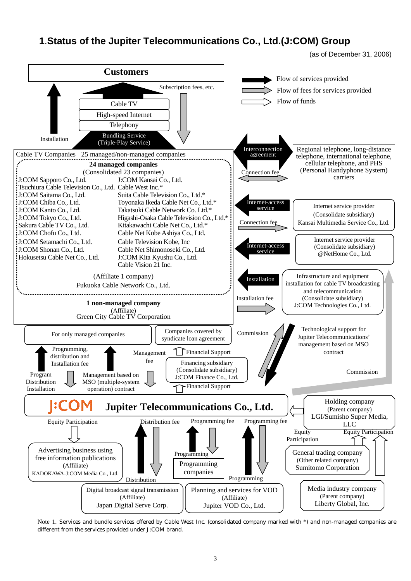# **1**.**Status of the Jupiter Telecommunications Co., Ltd.(J:COM) Group**

(as of December 31, 2006)



Note 1. Services and bundle services offered by Cable West Inc. (consolidated company marked with \*) and non-managed companies are different from the services provided under J:COM brand.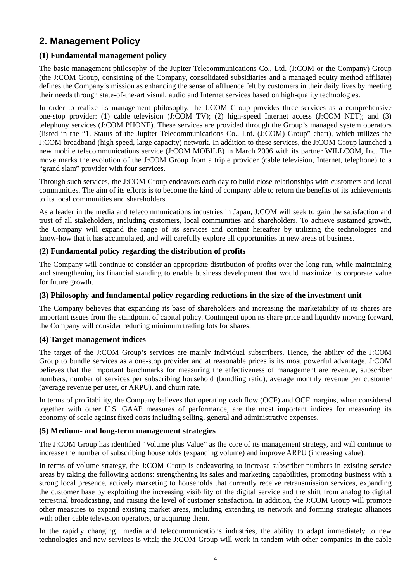# **2. Management Policy**

# **(1) Fundamental management policy**

The basic management philosophy of the Jupiter Telecommunications Co., Ltd. (J:COM or the Company) Group (the J:COM Group, consisting of the Company, consolidated subsidiaries and a managed equity method affiliate) defines the Company's mission as enhancing the sense of affluence felt by customers in their daily lives by meeting their needs through state-of-the-art visual, audio and Internet services based on high-quality technologies.

In order to realize its management philosophy, the J:COM Group provides three services as a comprehensive one-stop provider: (1) cable television (J:COM TV); (2) high-speed Internet access (J:COM NET); and (3) telephony services (J:COM PHONE). These services are provided through the Group's managed system operators (listed in the "1. Status of the Jupiter Telecommunications Co., Ltd. (J:COM) Group" chart), which utilizes the J:COM broadband (high speed, large capacity) network. In addition to these services, the J:COM Group launched a new mobile telecommunications service (J:COM MOBILE) in March 2006 with its partner WILLCOM, Inc. The move marks the evolution of the J:COM Group from a triple provider (cable television, Internet, telephone) to a "grand slam" provider with four services.

Through such services, the J:COM Group endeavors each day to build close relationships with customers and local communities. The aim of its efforts is to become the kind of company able to return the benefits of its achievements to its local communities and shareholders.

As a leader in the media and telecommunications industries in Japan, J:COM will seek to gain the satisfaction and trust of all stakeholders, including customers, local communities and shareholders. To achieve sustained growth, the Company will expand the range of its services and content hereafter by utilizing the technologies and know-how that it has accumulated, and will carefully explore all opportunities in new areas of business.

## **(2) Fundamental policy regarding the distribution of profits**

The Company will continue to consider an appropriate distribution of profits over the long run, while maintaining and strengthening its financial standing to enable business development that would maximize its corporate value for future growth.

## **(3) Philosophy and fundamental policy regarding reductions in the size of the investment unit**

The Company believes that expanding its base of shareholders and increasing the marketability of its shares are important issues from the standpoint of capital policy. Contingent upon its share price and liquidity moving forward, the Company will consider reducing minimum trading lots for shares.

## **(4) Target management indices**

The target of the J:COM Group's services are mainly individual subscribers. Hence, the ability of the J:COM Group to bundle services as a one-stop provider and at reasonable prices is its most powerful advantage. J:COM believes that the important benchmarks for measuring the effectiveness of management are revenue, subscriber numbers, number of services per subscribing household (bundling ratio), average monthly revenue per customer (average revenue per user, or ARPU), and churn rate.

In terms of profitability, the Company believes that operating cash flow (OCF) and OCF margins, when considered together with other U.S. GAAP measures of performance, are the most important indices for measuring its economy of scale against fixed costs including selling, general and administrative expenses.

## **(5) Medium- and long-term management strategies**

The J:COM Group has identified "Volume plus Value" as the core of its management strategy, and will continue to increase the number of subscribing households (expanding volume) and improve ARPU (increasing value).

In terms of volume strategy, the J:COM Group is endeavoring to increase subscriber numbers in existing service areas by taking the following actions: strengthening its sales and marketing capabilities, promoting business with a strong local presence, actively marketing to households that currently receive retransmission services, expanding the customer base by exploiting the increasing visibility of the digital service and the shift from analog to digital terrestrial broadcasting, and raising the level of customer satisfaction. In addition, the J:COM Group will promote other measures to expand existing market areas, including extending its network and forming strategic alliances with other cable television operators, or acquiring them.

In the rapidly changing media and telecommunications industries, the ability to adapt immediately to new technologies and new services is vital; the J:COM Group will work in tandem with other companies in the cable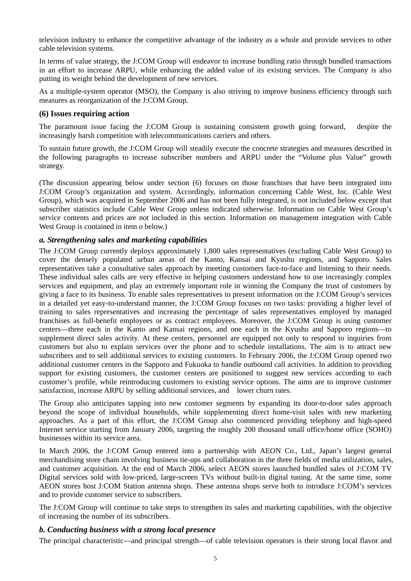television industry to enhance the competitive advantage of the industry as a whole and provide services to other cable television systems.

In terms of value strategy, the J:COM Group will endeavor to increase bundling ratio through bundled transactions in an effort to increase ARPU, while enhancing the added value of its existing services. The Company is also putting its weight behind the development of new services.

As a multiple-system operator (MSO), the Company is also striving to improve business efficiency through such measures as reorganization of the J:COM Group.

#### **(6) Issues requiring action**

The paramount issue facing the J:COM Group is sustaining consistent growth going forward, despite the increasingly harsh competition with telecommunications carriers and others.

To sustain future growth, the J:COM Group will steadily execute the concrete strategies and measures described in the following paragraphs to increase subscriber numbers and ARPU under the "Volume plus Value" growth strategy.

(The discussion appearing below under section (6) focuses on those franchises that have been integrated into J:COM Group's organization and system. Accordingly, information concerning Cable West, Inc. (Cable West Group), which was acquired in September 2006 and has not been fully integrated, is not included below except that subscriber statistics include Cable West Group unless indicated otherwise. Information on Cable West Group's service contents and prices are not included in this section. Information on management integration with Cable West Group is contained in item *o* below.)

## *a. Strengthening sales and marketing capabilities*

The J:COM Group currently deploys approximately 1,800 sales representatives (excluding Cable West Group) to cover the densely populated urban areas of the Kanto, Kansai and Kyushu regions, and Sapporo. Sales representatives take a consultative sales approach by meeting customers face-to-face and listening to their needs. These individual sales calls are very effective in helping customers understand how to use increasingly complex services and equipment, and play an extremely important role in winning the Company the trust of customers by giving a face to its business. To enable sales representatives to present information on the J:COM Group's services in a detailed yet easy-to-understand manner, the J:COM Group focuses on two tasks: providing a higher level of training to sales representatives and increasing the percentage of sales representatives employed by managed franchises as full-benefit employees or as contract employees. Moreover, the J:COM Group is using customer centers—three each in the Kanto and Kansai regions, and one each in the Kyushu and Sapporo regions—to supplement direct sales activity. At these centers, personnel are equipped not only to respond to inquiries from customers but also to explain services over the phone and to schedule installations. The aim is to attract new subscribers and to sell additional services to existing customers. In February 2006, the J:COM Group opened two additional customer centers in the Sapporo and Fukuoka to handle outbound call activities. In addition to providing support for existing customers, the customer centers are positioned to suggest new services according to each customer's profile, while reintroducing customers to existing service options. The aims are to improve customer satisfaction, increase ARPU by selling additional services, and lower churn rates.

The Group also anticipates tapping into new customer segments by expanding its door-to-door sales approach beyond the scope of individual households, while supplementing direct home-visit sales with new marketing approaches. As a part of this effort, the J:COM Group also commenced providing telephony and high-speed Internet service starting from January 2006, targeting the roughly 200 thousand small office/home office (SOHO) businesses within its service area.

In March 2006, the J:COM Group entered into a partnership with AEON Co., Ltd., Japan's largest general merchandising store chain involving business tie-ups and collaboration in the three fields of media utilization, sales, and customer acquisition. At the end of March 2006, select AEON stores launched bundled sales of J:COM TV Digital services sold with low-priced, large-screen TVs without built-in digital tuning. At the same time, some AEON stores host J:COM Station antenna shops. These antenna shops serve both to introduce J:COM's services and to provide customer service to subscribers.

The J:COM Group will continue to take steps to strengthen its sales and marketing capabilities, with the objective of increasing the number of its subscribers.

#### *b. Conducting business with a strong local presence*

The principal characteristic—and principal strength—of cable television operators is their strong local flavor and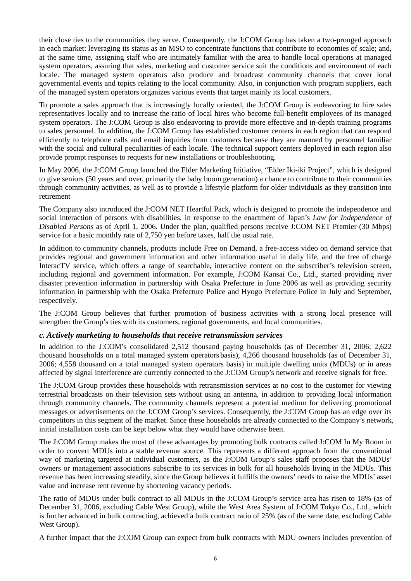their close ties to the communities they serve. Consequently, the J:COM Group has taken a two-pronged approach in each market: leveraging its status as an MSO to concentrate functions that contribute to economies of scale; and, at the same time, assigning staff who are intimately familiar with the area to handle local operations at managed system operators, assuring that sales, marketing and customer service suit the conditions and environment of each locale. The managed system operators also produce and broadcast community channels that cover local governmental events and topics relating to the local community. Also, in conjunction with program suppliers, each of the managed system operators organizes various events that target mainly its local customers.

To promote a sales approach that is increasingly locally oriented, the J:COM Group is endeavoring to hire sales representatives locally and to increase the ratio of local hires who become full-benefit employees of its managed system operators. The J:COM Group is also endeavoring to provide more effective and in-depth training programs to sales personnel. In addition, the J:COM Group has established customer centers in each region that can respond efficiently to telephone calls and email inquiries from customers because they are manned by personnel familiar with the social and cultural peculiarities of each locale. The technical support centers deployed in each region also provide prompt responses to requests for new installations or troubleshooting.

In May 2006, the J:COM Group launched the Elder Marketing Initiative, "Elder Iki-iki Project", which is designed to give seniors (50 years and over, primarily the baby boom generation) a chance to contribute to their communities through community activities, as well as to provide a lifestyle platform for older individuals as they transition into retirement

The Company also introduced the J:COM NET Heartful Pack, which is designed to promote the independence and social interaction of persons with disabilities, in response to the enactment of Japan's *Law for Independence of Disabled Persons* as of April 1, 2006. Under the plan, qualified persons receive J:COM NET Premier (30 Mbps) service for a basic monthly rate of 2,750 yen before taxes, half the usual rate.

In addition to community channels, products include Free on Demand, a free-access video on demand service that provides regional and government information and other information useful in daily life, and the free of charge InteracTV service, which offers a range of searchable, interactive content on the subscriber's television screen, including regional and government information. For example, J:COM Kansai Co., Ltd., started providing river disaster prevention information in partnership with Osaka Prefecture in June 2006 as well as providing security information in partnership with the Osaka Prefecture Police and Hyogo Prefecture Police in July and September, respectively.

The J:COM Group believes that further promotion of business activities with a strong local presence will strengthen the Group's ties with its customers, regional governments, and local communities.

## *c. Actively marketing to households that receive retransmission services*

In addition to the J:COM's consolidated 2,512 thousand paying households (as of December 31, 2006; 2,622 thousand households on a total managed system operators basis), 4,266 thousand households (as of December 31, 2006; 4,558 thousand on a total managed system operators basis) in multiple dwelling units (MDUs) or in areas affected by signal interference are currently connected to the J:COM Group's network and receive signals for free.

The J:COM Group provides these households with retransmission services at no cost to the customer for viewing terrestrial broadcasts on their television sets without using an antenna, in addition to providing local information through community channels. The community channels represent a potential medium for delivering promotional messages or advertisements on the J:COM Group's services. Consequently, the J:COM Group has an edge over its competitors in this segment of the market. Since these households are already connected to the Company's network, initial installation costs can be kept below what they would have otherwise been.

The J:COM Group makes the most of these advantages by promoting bulk contracts called J:COM In My Room in order to convert MDUs into a stable revenue source. This represents a different approach from the conventional way of marketing targeted at individual customers, as the J:COM Group's sales staff proposes that the MDUs' owners or management associations subscribe to its services in bulk for all households living in the MDUs. This revenue has been increasing steadily, since the Group believes it fulfills the owners' needs to raise the MDUs' asset value and increase rent revenue by shortening vacancy periods.

The ratio of MDUs under bulk contract to all MDUs in the J:COM Group's service area has risen to 18% (as of December 31, 2006, excluding Cable West Group), while the West Area System of J:COM Tokyo Co., Ltd., which is further advanced in bulk contracting, achieved a bulk contract ratio of 25% (as of the same date, excluding Cable West Group).

A further impact that the J:COM Group can expect from bulk contracts with MDU owners includes prevention of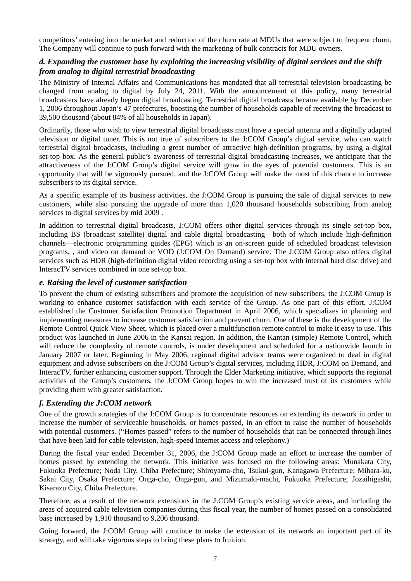competitors' entering into the market and reduction of the churn rate at MDUs that were subject to frequent churn. The Company will continue to push forward with the marketing of bulk contracts for MDU owners.

## *d. Expanding the customer base by exploiting the increasing visibility of digital services and the shift from analog to digital terrestrial broadcasting*

The Ministry of Internal Affairs and Communications has mandated that all terrestrial television broadcasting be changed from analog to digital by July 24, 2011. With the announcement of this policy, many terrestrial broadcasters have already begun digital broadcasting. Terrestrial digital broadcasts became available by December 1, 2006 throughout Japan's 47 prefectures, boosting the number of households capable of receiving the broadcast to 39,500 thousand (about 84% of all households in Japan).

Ordinarily, those who wish to view terrestrial digital broadcasts must have a special antenna and a digitally adapted television or digital tuner. This is not true of subscribers to the J:COM Group's digital service, who can watch terrestrial digital broadcasts, including a great number of attractive high-definition programs, by using a digital set-top box. As the general public's awareness of terrestrial digital broadcasting increases, we anticipate that the attractiveness of the J:COM Group's digital service will grow in the eyes of potential customers. This is an opportunity that will be vigorously pursued, and the J:COM Group will make the most of this chance to increase subscribers to its digital service.

As a specific example of its business activities, the J:COM Group is pursuing the sale of digital services to new customers, while also pursuing the upgrade of more than 1,020 thousand households subscribing from analog services to digital services by mid 2009 .

In addition to terrestrial digital broadcasts, J:COM offers other digital services through its single set-top box, including BS (broadcast satellite) digital and cable digital broadcasting—both of which include high-definition channels—electronic programming guides (EPG) which is an on-screen guide of scheduled broadcast television programs, , and video on demand or VOD (J:COM On Demand) service. The J:COM Group also offers digital services such as HDR (high-definition digital video recording using a set-top box with internal hard disc drive) and InteracTV services combined in one set-top box.

## *e. Raising the level of customer satisfaction*

To prevent the churn of existing subscribers and promote the acquisition of new subscribers, the J:COM Group is working to enhance customer satisfaction with each service of the Group. As one part of this effort, J:COM established the Customer Satisfaction Promotion Department in April 2006, which specializes in planning and implementing measures to increase customer satisfaction and prevent churn. One of these is the development of the Remote Control Quick View Sheet, which is placed over a multifunction remote control to make it easy to use. This product was launched in June 2006 in the Kansai region. In addition, the Kantan (simple) Remote Control, which will reduce the complexity of remote controls, is under development and scheduled for a nationwide launch in January 2007 or later. Beginning in May 2006, regional digital advisor teams were organized to deal in digital equipment and advise subscribers on the J:COM Group's digital services, including HDR, J:COM on Demand, and InteracTV, further enhancing customer support. Through the Elder Marketing initiative, which supports the regional activities of the Group's customers, the J:COM Group hopes to win the increased trust of its customers while providing them with greater satisfaction.

## *f. Extending the J:COM network*

One of the growth strategies of the J:COM Group is to concentrate resources on extending its network in order to increase the number of serviceable households, or homes passed, in an effort to raise the number of households with potential customers. ("Homes passed" refers to the number of households that can be connected through lines that have been laid for cable television, high-speed Internet access and telephony.)

During the fiscal year ended December 31, 2006, the J:COM Group made an effort to increase the number of homes passed by extending the network. This initiative was focused on the following areas: Munakata City, Fukuoka Prefecture; Noda City, Chiba Prefecture; Shiroyama-cho, Tsukui-gun, Kanagawa Prefecture; Mihara-ku, Sakai City, Osaka Prefecture; Onga-cho, Onga-gun, and Mizumaki-machi, Fukuoka Prefecture; Jozaihigashi, Kisarazu City, Chiba Prefecture.

Therefore, as a result of the network extensions in the J:COM Group's existing service areas, and including the areas of acquired cable television companies during this fiscal year, the number of homes passed on a consolidated base increased by 1,910 thousand to 9,206 thousand.

Going forward, the J:COM Group will continue to make the extension of its network an important part of its strategy, and will take vigorous steps to bring these plans to fruition.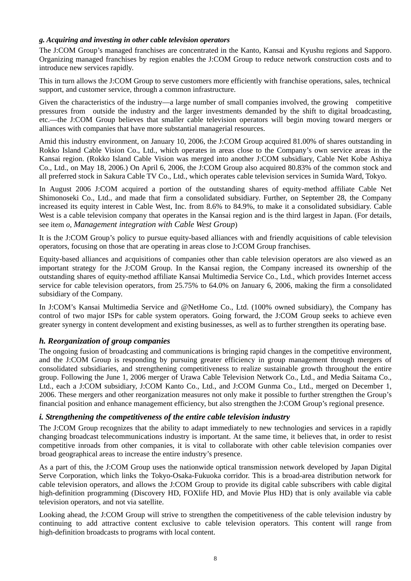#### *g. Acquiring and investing in other cable television operators*

The J:COM Group's managed franchises are concentrated in the Kanto, Kansai and Kyushu regions and Sapporo. Organizing managed franchises by region enables the J:COM Group to reduce network construction costs and to introduce new services rapidly.

This in turn allows the J:COM Group to serve customers more efficiently with franchise operations, sales, technical support, and customer service, through a common infrastructure.

Given the characteristics of the industry—a large number of small companies involved, the growing competitive pressures from outside the industry and the larger investments demanded by the shift to digital broadcasting, etc.—the J:COM Group believes that smaller cable television operators will begin moving toward mergers or alliances with companies that have more substantial managerial resources.

Amid this industry environment, on January 10, 2006, the J:COM Group acquired 81.00% of shares outstanding in Rokko Island Cable Vision Co., Ltd., which operates in areas close to the Company's own service areas in the Kansai region. (Rokko Island Cable Vision was merged into another J:COM subsidiary, Cable Net Kobe Ashiya Co., Ltd., on May 18, 2006.) On April 6, 2006, the J:COM Group also acquired 80.83% of the common stock and all preferred stock in Sakura Cable TV Co., Ltd., which operates cable television services in Sumida Ward, Tokyo.

In August 2006 J:COM acquired a portion of the outstanding shares of equity-method affiliate Cable Net Shimonoseki Co., Ltd., and made that firm a consolidated subsidiary. Further, on September 28, the Company increased its equity interest in Cable West, Inc. from 8.6% to 84.9%, to make it a consolidated subsidiary. Cable West is a cable television company that operates in the Kansai region and is the third largest in Japan. (For details, see item *o, Management integration with Cable West Group*)

It is the J:COM Group's policy to pursue equity-based alliances with and friendly acquisitions of cable television operators, focusing on those that are operating in areas close to J:COM Group franchises.

Equity-based alliances and acquisitions of companies other than cable television operators are also viewed as an important strategy for the J:COM Group. In the Kansai region, the Company increased its ownership of the outstanding shares of equity-method affiliate Kansai Multimedia Service Co., Ltd., which provides Internet access service for cable television operators, from 25.75% to 64.0% on January 6, 2006, making the firm a consolidated subsidiary of the Company.

In J:COM's Kansai Multimedia Service and @NetHome Co., Ltd. (100% owned subsidiary), the Company has control of two major ISPs for cable system operators. Going forward, the J:COM Group seeks to achieve even greater synergy in content development and existing businesses, as well as to further strengthen its operating base.

## *h. Reorganization of group companies*

The ongoing fusion of broadcasting and communications is bringing rapid changes in the competitive environment, and the J:COM Group is responding by pursuing greater efficiency in group management through mergers of consolidated subsidiaries, and strengthening competitiveness to realize sustainable growth throughout the entire group. Following the June 1, 2006 merger of Urawa Cable Television Network Co., Ltd., and Media Saitama Co., Ltd., each a J:COM subsidiary, J:COM Kanto Co., Ltd., and J:COM Gunma Co., Ltd., merged on December 1, 2006. These mergers and other reorganization measures not only make it possible to further strengthen the Group's financial position and enhance management efficiency, but also strengthen the J:COM Group's regional presence.

## *i. Strengthening the competitiveness of the entire cable television industry*

The J:COM Group recognizes that the ability to adapt immediately to new technologies and services in a rapidly changing broadcast telecommunications industry is important. At the same time, it believes that, in order to resist competitive inroads from other companies, it is vital to collaborate with other cable television companies over broad geographical areas to increase the entire industry's presence.

As a part of this, the J:COM Group uses the nationwide optical transmission network developed by Japan Digital Serve Corporation, which links the Tokyo-Osaka-Fukuoka corridor. This is a broad-area distribution network for cable television operators, and allows the J:COM Group to provide its digital cable subscribers with cable digital high-definition programming (Discovery HD, FOXlife HD, and Movie Plus HD) that is only available via cable television operators, and not via satellite.

Looking ahead, the J:COM Group will strive to strengthen the competitiveness of the cable television industry by continuing to add attractive content exclusive to cable television operators. This content will range from high-definition broadcasts to programs with local content.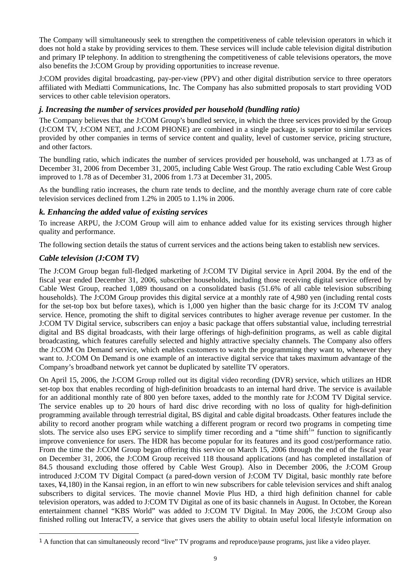The Company will simultaneously seek to strengthen the competitiveness of cable television operators in which it does not hold a stake by providing services to them. These services will include cable television digital distribution and primary IP telephony. In addition to strengthening the competitiveness of cable televisions operators, the move also benefits the J:COM Group by providing opportunities to increase revenue.

J:COM provides digital broadcasting, pay-per-view (PPV) and other digital distribution service to three operators affiliated with Mediatti Communications, Inc. The Company has also submitted proposals to start providing VOD services to other cable television operators.

## *j. Increasing the number of services provided per household (bundling ratio)*

The Company believes that the J:COM Group's bundled service, in which the three services provided by the Group (J:COM TV, J:COM NET, and J:COM PHONE) are combined in a single package, is superior to similar services provided by other companies in terms of service content and quality, level of customer service, pricing structure, and other factors.

The bundling ratio, which indicates the number of services provided per household, was unchanged at 1.73 as of December 31, 2006 from December 31, 2005, including Cable West Group. The ratio excluding Cable West Group improved to 1.78 as of December 31, 2006 from 1.73 at December 31, 2005.

As the bundling ratio increases, the churn rate tends to decline, and the monthly average churn rate of core cable television services declined from 1.2% in 2005 to 1.1% in 2006.

## *k. Enhancing the added value of existing services*

To increase ARPU, the J:COM Group will aim to enhance added value for its existing services through higher quality and performance.

The following section details the status of current services and the actions being taken to establish new services.

# *Cable television (J:COM TV)*

The J:COM Group began full-fledged marketing of J:COM TV Digital service in April 2004. By the end of the fiscal year ended December 31, 2006, subscriber households, including those receiving digital service offered by Cable West Group, reached 1,089 thousand on a consolidated basis (51.6% of all cable television subscribing households). The J:COM Group provides this digital service at a monthly rate of 4,980 yen (including rental costs for the set-top box but before taxes), which is 1,000 yen higher than the basic charge for its J:COM TV analog service. Hence, promoting the shift to digital services contributes to higher average revenue per customer. In the J:COM TV Digital service, subscribers can enjoy a basic package that offers substantial value, including terrestrial digital and BS digital broadcasts, with their large offerings of high-definition programs, as well as cable digital broadcasting, which features carefully selected and highly attractive specialty channels. The Company also offers the J:COM On Demand service, which enables customers to watch the programming they want to, whenever they want to. J:COM On Demand is one example of an interactive digital service that takes maximum advantage of the Company's broadband network yet cannot be duplicated by satellite TV operators.

On April 15, 2006, the J:COM Group rolled out its digital video recording (DVR) service, which utilizes an HDR set-top box that enables recording of high-definition broadcasts to an internal hard drive. The service is available for an additional monthly rate of 800 yen before taxes, added to the monthly rate for J:COM TV Digital service. The service enables up to 20 hours of hard disc drive recording with no loss of quality for high-definition programming available through terrestrial digital, BS digital and cable digital broadcasts. Other features include the ability to record another program while watching a different program or record two programs in competing time slots. The service also uses EPG service to simplify timer recording and a "time shift<sup>[1](#page-8-0)</sup>" function to significantly improve convenience for users. The HDR has become popular for its features and its good cost/performance ratio. From the time the J:COM Group began offering this service on March 15, 2006 through the end of the fiscal year on December 31, 2006, the J:COM Group received 118 thousand applications (and has completed installation of 84.5 thousand excluding those offered by Cable West Group). Also in December 2006, the J:COM Group introduced J:COM TV Digital Compact (a pared-down version of J:COM TV Digital, basic monthly rate before taxes, ¥4,180) in the Kansai region, in an effort to win new subscribers for cable television services and shift analog subscribers to digital services. The movie channel Movie Plus HD, a third high definition channel for cable television operators, was added to J:COM TV Digital as one of its basic channels in August. In October, the Korean entertainment channel "KBS World" was added to J:COM TV Digital. In May 2006, the J:COM Group also finished rolling out InteracTV, a service that gives users the ability to obtain useful local lifestyle information on

<span id="page-8-0"></span> <sup>1</sup> A function that can simultaneously record "live" TV programs and reproduce/pause programs, just like a video player.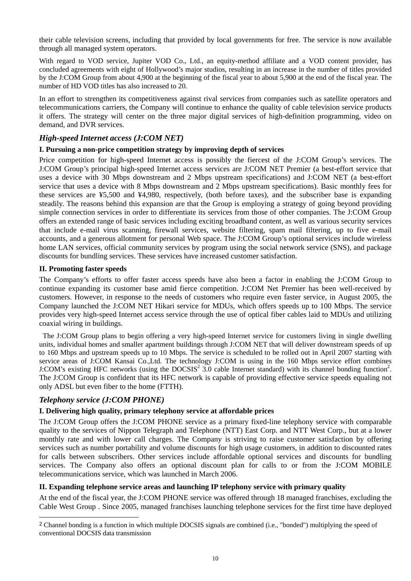their cable television screens, including that provided by local governments for free. The service is now available through all managed system operators.

With regard to VOD service, Jupiter VOD Co., Ltd., an equity-method affiliate and a VOD content provider, has concluded agreements with eight of Hollywood's major studios, resulting in an increase in the number of titles provided by the J:COM Group from about 4,900 at the beginning of the fiscal year to about 5,900 at the end of the fiscal year. The number of HD VOD titles has also increased to 20.

In an effort to strengthen its competitiveness against rival services from companies such as satellite operators and telecommunications carriers, the Company will continue to enhance the quality of cable television service products it offers. The strategy will center on the three major digital services of high-definition programming, video on demand, and DVR services.

## *High-speed Internet access (J:COM NET)*

#### **I. Pursuing a non-price competition strategy by improving depth of services**

Price competition for high-speed Internet access is possibly the fiercest of the J:COM Group's services. The J:COM Group's principal high-speed Internet access services are J:COM NET Premier (a best-effort service that uses a device with 30 Mbps downstream and 2 Mbps upstream specifications) and J:COM NET (a best-effort service that uses a device with 8 Mbps downstream and 2 Mbps upstream specifications). Basic monthly fees for these services are ¥5,500 and ¥4,980, respectively, (both before taxes), and the subscriber base is expanding steadily. The reasons behind this expansion are that the Group is employing a strategy of going beyond providing simple connection services in order to differentiate its services from those of other companies. The J:COM Group offers an extended range of basic services including exciting broadband content, as well as various security services that include e-mail virus scanning, firewall services, website filtering, spam mail filtering, up to five e-mail accounts, and a generous allotment for personal Web space. The J:COM Group's optional services include wireless home LAN services, official community services by program using the social network service (SNS), and package discounts for bundling services. These services have increased customer satisfaction.

#### **II. Promoting faster speeds**

The Company's efforts to offer faster access speeds have also been a factor in enabling the J:COM Group to continue expanding its customer base amid fierce competition. J:COM Net Premier has been well-received by customers. However, in response to the needs of customers who require even faster service, in August 2005, the Company launched the J:COM NET Hikari service for MDUs, which offers speeds up to 100 Mbps. The service provides very high-speed Internet access service through the use of optical fiber cables laid to MDUs and utilizing coaxial wiring in buildings.

The J:COM Group plans to begin offering a very high-speed Internet service for customers living in single dwelling units, individual homes and smaller apartment buildings through J:COM NET that will deliver downstream speeds of up to 160 Mbps and upstream speeds up to 10 Mbps. The service is scheduled to be rolled out in April 2007 starting with service areas of J:COM Kansai Co.,Ltd. The technology J:COM is using in the 160 Mbps service effort combines J:COM's existing HFC networks (using the DOCSIS<sup>2</sup> 3[.](#page-9-0)0 cable Internet standard) with its channel bonding function<sup>2</sup>. The J:COM Group is confident that its HFC network is capable of providing effective service speeds equaling not only ADSL but even fiber to the home (FTTH).

## *Telephony service (J:COM PHONE)*

## **I. Delivering high quality, primary telephony service at affordable prices**

The J:COM Group offers the J:COM PHONE service as a primary fixed-line telephony service with comparable quality to the services of Nippon Telegraph and Telephone (NTT) East Corp. and NTT West Corp., but at a lower monthly rate and with lower call charges. The Company is striving to raise customer satisfaction by offering services such as number portability and volume discounts for high usage customers, in addition to discounted rates for calls between subscribers. Other services include affordable optional services and discounts for bundling services. The Company also offers an optional discount plan for calls to or from the J:COM MOBILE telecommunications service, which was launched in March 2006.

#### **II. Expanding telephone service areas and launching IP telephony service with primary quality**

At the end of the fiscal year, the J:COM PHONE service was offered through 18 managed franchises, excluding the Cable West Group . Since 2005, managed franchises launching telephone services for the first time have deployed

<span id="page-9-0"></span> <sup>2</sup> Channel bonding is a function in which multiple DOCSIS signals are combined (i.e., "bonded") multiplying the speed of conventional DOCSIS data transmission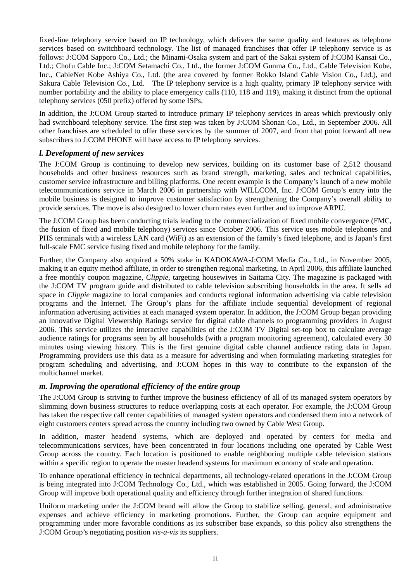fixed-line telephony service based on IP technology, which delivers the same quality and features as telephone services based on switchboard technology. The list of managed franchises that offer IP telephony service is as follows: J:COM Sapporo Co., Ltd.; the Minami-Osaka system and part of the Sakai system of J:COM Kansai Co., Ltd.; Chofu Cable Inc.; J:COM Setamachi Co., Ltd., the former J:COM Gunma Co., Ltd., Cable Television Kobe, Inc., CableNet Kobe Ashiya Co., Ltd. (the area covered by former Rokko Island Cable Vision Co., Ltd.), and Sakura Cable Television Co., Ltd. The IP telephony service is a high quality, primary IP telephony service with number portability and the ability to place emergency calls (110, 118 and 119), making it distinct from the optional telephony services (050 prefix) offered by some ISPs.

In addition, the J:COM Group started to introduce primary IP telephony services in areas which previously only had switchboard telephony service. The first step was taken by J:COM Shonan Co., Ltd., in September 2006. All other franchises are scheduled to offer these services by the summer of 2007, and from that point forward all new subscribers to J:COM PHONE will have access to IP telephony services.

## *l. Development of new services*

The J:COM Group is continuing to develop new services, building on its customer base of 2,512 thousand households and other business resources such as brand strength, marketing, sales and technical capabilities, customer service infrastructure and billing platforms. One recent example is the Company's launch of a new mobile telecommunications service in March 2006 in partnership with WILLCOM, Inc. J:COM Group's entry into the mobile business is designed to improve customer satisfaction by strengthening the Company's overall ability to provide services. The move is also designed to lower churn rates even further and to improve ARPU.

The J:COM Group has been conducting trials leading to the commercialization of fixed mobile convergence (FMC, the fusion of fixed and mobile telephony) services since October 2006. This service uses mobile telephones and PHS terminals with a wireless LAN card (WiFi) as an extension of the family's fixed telephone, and is Japan's first full-scale FMC service fusing fixed and mobile telephony for the family.

Further, the Company also acquired a 50% stake in KADOKAWA-J:COM Media Co., Ltd., in November 2005, making it an equity method affiliate, in order to strengthen regional marketing. In April 2006, this affiliate launched a free monthly coupon magazine, *Clippie*, targeting housewives in Saitama City. The magazine is packaged with the J:COM TV program guide and distributed to cable television subscribing households in the area. It sells ad space in *Clippie* magazine to local companies and conducts regional information advertising via cable television programs and the Internet. The Group's plans for the affiliate include sequential development of regional information advertising activities at each managed system operator. In addition, the J:COM Group began providing an innovative Digital Viewership Ratings service for digital cable channels to programming providers in August 2006. This service utilizes the interactive capabilities of the J:COM TV Digital set-top box to calculate average audience ratings for programs seen by all households (with a program monitoring agreement), calculated every 30 minutes using viewing history. This is the first genuine digital cable channel audience rating data in Japan. Programming providers use this data as a measure for advertising and when formulating marketing strategies for program scheduling and advertising, and J:COM hopes in this way to contribute to the expansion of the multichannel market.

#### *m. Improving the operational efficiency of the entire group*

The J:COM Group is striving to further improve the business efficiency of all of its managed system operators by slimming down business structures to reduce overlapping costs at each operator. For example, the J:COM Group has taken the respective call center capabilities of managed system operators and condensed them into a network of eight customers centers spread across the country including two owned by Cable West Group.

In addition, master headend systems, which are deployed and operated by centers for media and telecommunications services, have been concentrated in four locations including one operated by Cable West Group across the country. Each location is positioned to enable neighboring multiple cable television stations within a specific region to operate the master headend systems for maximum economy of scale and operation.

To enhance operational efficiency in technical departments, all technology-related operations in the J:COM Group is being integrated into J:COM Technology Co., Ltd., which was established in 2005. Going forward, the J:COM Group will improve both operational quality and efficiency through further integration of shared functions.

Uniform marketing under the J:COM brand will allow the Group to stabilize selling, general, and administrative expenses and achieve efficiency in marketing promotions. Further, the Group can acquire equipment and programming under more favorable conditions as its subscriber base expands, so this policy also strengthens the J:COM Group's negotiating position *vis-a-vis* its suppliers.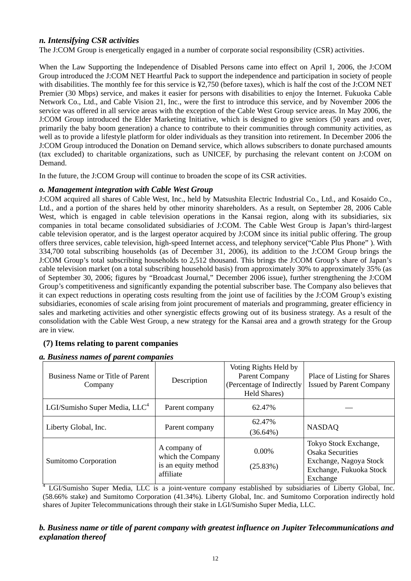## *n. Intensifying CSR activities*

The J:COM Group is energetically engaged in a number of corporate social responsibility (CSR) activities.

When the Law Supporting the Independence of Disabled Persons came into effect on April 1, 2006, the J:COM Group introduced the J:COM NET Heartful Pack to support the independence and participation in society of people with disabilities. The monthly fee for this service is ¥2,750 (before taxes), which is half the cost of the J:COM NET Premier (30 Mbps) service, and makes it easier for persons with disabilities to enjoy the Internet. Fukuoka Cable Network Co., Ltd., and Cable Vision 21, Inc., were the first to introduce this service, and by November 2006 the service was offered in all service areas with the exception of the Cable West Group service areas. In May 2006, the J:COM Group introduced the Elder Marketing Initiative, which is designed to give seniors (50 years and over, primarily the baby boom generation) a chance to contribute to their communities through community activities, as well as to provide a lifestyle platform for older individuals as they transition into retirement. In December 2006 the J:COM Group introduced the Donation on Demand service, which allows subscribers to donate purchased amounts (tax excluded) to charitable organizations, such as UNICEF, by purchasing the relevant content on J:COM on Demand.

In the future, the J:COM Group will continue to broaden the scope of its CSR activities.

#### *o. Management integration with Cable West Group*

J:COM acquired all shares of Cable West, Inc., held by Matsushita Electric Industrial Co., Ltd., and Kosaido Co., Ltd., and a portion of the shares held by other minority shareholders. As a result, on September 28, 2006 Cable West, which is engaged in cable television operations in the Kansai region, along with its subsidiaries, six companies in total became consolidated subsidiaries of J:COM. The Cable West Group is Japan's third-largest cable television operator, and is the largest operator acquired by J:COM since its initial public offering. The group offers three services, cable television, high-speed Internet access, and telephony service("Cable Plus Phone" ). With 334,700 total subscribing households (as of December 31, 2006), its addition to the J:COM Group brings the J:COM Group's total subscribing households to 2,512 thousand. This brings the J:COM Group's share of Japan's cable television market (on a total subscribing household basis) from approximately 30% to approximately 35% (as of September 30, 2006; figures by "Broadcast Journal," December 2006 issue), further strengthening the J:COM Group's competitiveness and significantly expanding the potential subscriber base. The Company also believes that it can expect reductions in operating costs resulting from the joint use of facilities by the J:COM Group's existing subsidiaries, economies of scale arising from joint procurement of materials and programming, greater efficiency in sales and marketing activities and other synergistic effects growing out of its business strategy. As a result of the consolidation with the Cable West Group, a new strategy for the Kansai area and a growth strategy for the Group are in view.

# **(7) Items relating to parent companies**

## *a. Business names of parent companies*

| Business Name or Title of Parent<br>Company | Description                                                           | Voting Rights Held by<br><b>Parent Company</b><br>(Percentage of Indirectly)<br>Held Shares) | Place of Listing for Shares<br><b>Issued by Parent Company</b>                                                    |
|---------------------------------------------|-----------------------------------------------------------------------|----------------------------------------------------------------------------------------------|-------------------------------------------------------------------------------------------------------------------|
| LGI/Sumisho Super Media, $LLC4$             | Parent company                                                        | 62.47%                                                                                       |                                                                                                                   |
| Liberty Global, Inc.                        | Parent company                                                        | 62.47%<br>$(36.64\%)$                                                                        | <b>NASDAQ</b>                                                                                                     |
| Sumitomo Corporation                        | A company of<br>which the Company<br>is an equity method<br>affiliate | $0.00\%$<br>(25.83%)                                                                         | Tokyo Stock Exchange,<br><b>Osaka Securities</b><br>Exchange, Nagoya Stock<br>Exchange, Fukuoka Stock<br>Exchange |

<sup>4</sup> LGI/Sumisho Super Media, LLC is a joint-venture company established by subsidiaries of Liberty Global, Inc. (58.66% stake) and Sumitomo Corporation (41.34%). Liberty Global, Inc. and Sumitomo Corporation indirectly hold shares of Jupiter Telecommunications through their stake in LGI/Sumisho Super Media, LLC.

## *b. Business name or title of parent company with greatest influence on Jupiter Telecommunications and explanation thereof*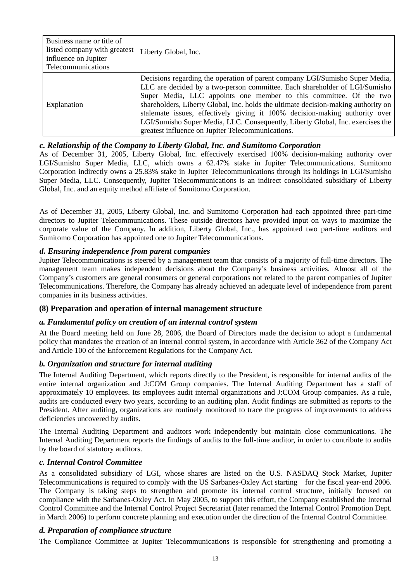| Business name or title of<br>listed company with greatest<br>influence on Jupiter<br>Telecommunications | Liberty Global, Inc.                                                                                                                                                                                                                                                                                                                                                                                                                                                                                                                         |
|---------------------------------------------------------------------------------------------------------|----------------------------------------------------------------------------------------------------------------------------------------------------------------------------------------------------------------------------------------------------------------------------------------------------------------------------------------------------------------------------------------------------------------------------------------------------------------------------------------------------------------------------------------------|
| Explanation                                                                                             | Decisions regarding the operation of parent company LGI/Sumisho Super Media,<br>LLC are decided by a two-person committee. Each shareholder of LGI/Sumisho<br>Super Media, LLC appoints one member to this committee. Of the two<br>shareholders, Liberty Global, Inc. holds the ultimate decision-making authority on<br>stalemate issues, effectively giving it 100% decision-making authority over<br>LGI/Sumisho Super Media, LLC. Consequently, Liberty Global, Inc. exercises the<br>greatest influence on Jupiter Telecommunications. |

#### *c. Relationship of the Company to Liberty Global, Inc. and Sumitomo Corporation*

As of December 31, 2005, Liberty Global, Inc. effectively exercised 100% decision-making authority over LGI/Sumisho Super Media, LLC, which owns a 62.47% stake in Jupiter Telecommunications. Sumitomo Corporation indirectly owns a 25.83% stake in Jupiter Telecommunications through its holdings in LGI/Sumisho Super Media, LLC. Consequently, Jupiter Telecommunications is an indirect consolidated subsidiary of Liberty Global, Inc. and an equity method affiliate of Sumitomo Corporation.

As of December 31, 2005, Liberty Global, Inc. and Sumitomo Corporation had each appointed three part-time directors to Jupiter Telecommunications. These outside directors have provided input on ways to maximize the corporate value of the Company. In addition, Liberty Global, Inc., has appointed two part-time auditors and Sumitomo Corporation has appointed one to Jupiter Telecommunications.

## *d. Ensuring independence from parent companies*

Jupiter Telecommunications is steered by a management team that consists of a majority of full-time directors. The management team makes independent decisions about the Company's business activities. Almost all of the Company's customers are general consumers or general corporations not related to the parent companies of Jupiter Telecommunications. Therefore, the Company has already achieved an adequate level of independence from parent companies in its business activities.

## **(8) Preparation and operation of internal management structure**

## *a. Fundamental policy on creation of an internal control system*

At the Board meeting held on June 28, 2006, the Board of Directors made the decision to adopt a fundamental policy that mandates the creation of an internal control system, in accordance with Article 362 of the Company Act and Article 100 of the Enforcement Regulations for the Company Act.

## *b. Organization and structure for internal auditing*

The Internal Auditing Department, which reports directly to the President, is responsible for internal audits of the entire internal organization and J:COM Group companies. The Internal Auditing Department has a staff of approximately 10 employees. Its employees audit internal organizations and J:COM Group companies. As a rule, audits are conducted every two years, according to an auditing plan. Audit findings are submitted as reports to the President. After auditing, organizations are routinely monitored to trace the progress of improvements to address deficiencies uncovered by audits.

The Internal Auditing Department and auditors work independently but maintain close communications. The Internal Auditing Department reports the findings of audits to the full-time auditor, in order to contribute to audits by the board of statutory auditors.

#### *c. Internal Control Committee*

As a consolidated subsidiary of LGI, whose shares are listed on the U.S. NASDAQ Stock Market, Jupiter Telecommunications is required to comply with the US Sarbanes-Oxley Act starting for the fiscal year-end 2006. The Company is taking steps to strengthen and promote its internal control structure, initially focused on compliance with the Sarbanes-Oxley Act. In May 2005, to support this effort, the Company established the Internal Control Committee and the Internal Control Project Secretariat (later renamed the Internal Control Promotion Dept. in March 2006) to perform concrete planning and execution under the direction of the Internal Control Committee.

#### *d. Preparation of compliance structure*

The Compliance Committee at Jupiter Telecommunications is responsible for strengthening and promoting a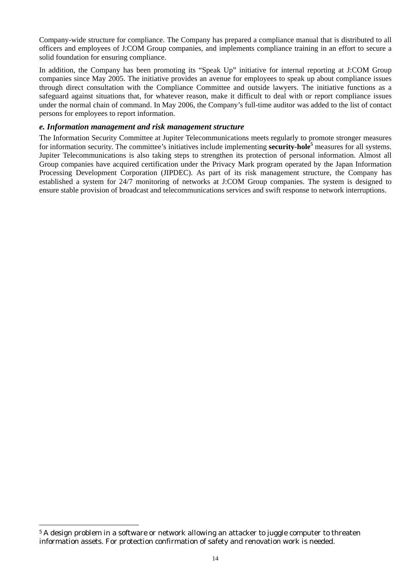Company-wide structure for compliance. The Company has prepared a compliance manual that is distributed to all officers and employees of J:COM Group companies, and implements compliance training in an effort to secure a solid foundation for ensuring compliance.

In addition, the Company has been promoting its "Speak Up" initiative for internal reporting at J:COM Group companies since May 2005. The initiative provides an avenue for employees to speak up about compliance issues through direct consultation with the Compliance Committee and outside lawyers. The initiative functions as a safeguard against situations that, for whatever reason, make it difficult to deal with or report compliance issues under the normal chain of command. In May 2006, the Company's full-time auditor was added to the list of contact persons for employees to report information.

#### *e. Information management and risk management structure*

The Information Security Committee at Jupiter Telecommunications meets regularly to promote stronger measures for information security. The committee's initiatives include implementing **security-hole[5](#page-13-0)** measures for all systems. Jupiter Telecommunications is also taking steps to strengthen its protection of personal information. Almost all Group companies have acquired certification under the Privacy Mark program operated by the Japan Information Processing Development Corporation (JIPDEC). As part of its risk management structure, the Company has established a system for 24/7 monitoring of networks at J:COM Group companies. The system is designed to ensure stable provision of broadcast and telecommunications services and swift response to network interruptions.

<span id="page-13-0"></span><sup>&</sup>lt;sup>5</sup> A design problem in a software or network allowing an attacker to juggle computer to threaten information assets. For protection confirmation of safety and renovation work is needed.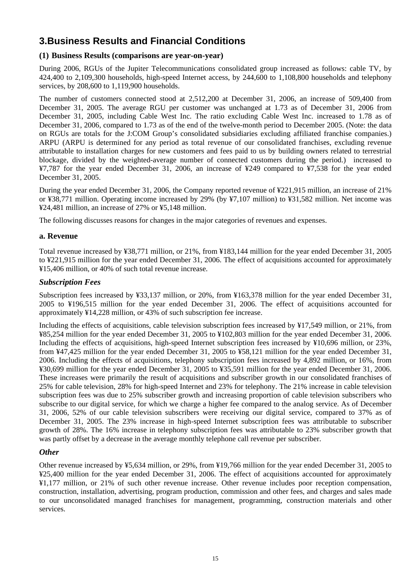# **3.Business Results and Financial Conditions**

## **(1) Business Results (comparisons are year-on-year)**

During 2006, RGUs of the Jupiter Telecommunications consolidated group increased as follows: cable TV, by 424,400 to 2,109,300 households, high-speed Internet access, by 244,600 to 1,108,800 households and telephony services, by 208,600 to 1,119,900 households.

The number of customers connected stood at 2,512,200 at December 31, 2006, an increase of 509,400 from December 31, 2005. The average RGU per customer was unchanged at 1.73 as of December 31, 2006 from December 31, 2005, including Cable West Inc. The ratio excluding Cable West Inc. increased to 1.78 as of December 31, 2006, compared to 1.73 as of the end of the twelve-month period to December 2005. (Note: the data on RGUs are totals for the J:COM Group's consolidated subsidiaries excluding affiliated franchise companies.) ARPU (ARPU is determined for any period as total revenue of our consolidated franchises, excluding revenue attributable to installation charges for new customers and fees paid to us by building owners related to terrestrial blockage, divided by the weighted-average number of connected customers during the period.) increased to ¥7,787 for the year ended December 31, 2006, an increase of ¥249 compared to ¥7,538 for the year ended December 31, 2005.

During the year ended December 31, 2006, the Company reported revenue of ¥221,915 million, an increase of 21% or ¥38,771 million. Operating income increased by 29% (by ¥7,107 million) to ¥31,582 million. Net income was ¥24,481 million, an increase of 27% or ¥5,148 million.

The following discusses reasons for changes in the major categories of revenues and expenses.

## **a. Revenue**

Total revenue increased by ¥38,771 million, or 21%, from ¥183,144 million for the year ended December 31, 2005 to ¥221,915 million for the year ended December 31, 2006. The effect of acquisitions accounted for approximately ¥15,406 million, or 40% of such total revenue increase.

#### *Subscription Fees*

Subscription fees increased by ¥33,137 million, or 20%, from ¥163,378 million for the year ended December 31, 2005 to ¥196,515 million for the year ended December 31, 2006. The effect of acquisitions accounted for approximately ¥14,228 million, or 43% of such subscription fee increase.

Including the effects of acquisitions, cable television subscription fees increased by ¥17,549 million, or 21%, from ¥85,254 million for the year ended December 31, 2005 to ¥102,803 million for the year ended December 31, 2006. Including the effects of acquisitions, high-speed Internet subscription fees increased by ¥10,696 million, or 23%, from ¥47,425 million for the year ended December 31, 2005 to ¥58,121 million for the year ended December 31, 2006. Including the effects of acquisitions, telephony subscription fees increased by 4,892 million, or 16%, from ¥30,699 million for the year ended December 31, 2005 to ¥35,591 million for the year ended December 31, 2006. These increases were primarily the result of acquisitions and subscriber growth in our consolidated franchises of 25% for cable television, 28% for high-speed Internet and 23% for telephony. The 21% increase in cable television subscription fees was due to 25% subscriber growth and increasing proportion of cable television subscribers who subscribe to our digital service, for which we charge a higher fee compared to the analog service. As of December 31, 2006, 52% of our cable television subscribers were receiving our digital service, compared to 37% as of December 31, 2005. The 23% increase in high-speed Internet subscription fees was attributable to subscriber growth of 28%. The 16% increase in telephony subscription fees was attributable to 23% subscriber growth that was partly offset by a decrease in the average monthly telephone call revenue per subscriber.

## *Other*

Other revenue increased by ¥5,634 million, or 29%, from ¥19,766 million for the year ended December 31, 2005 to ¥25,400 million for the year ended December 31, 2006. The effect of acquisitions accounted for approximately ¥1,177 million, or 21% of such other revenue increase. Other revenue includes poor reception compensation, construction, installation, advertising, program production, commission and other fees, and charges and sales made to our unconsolidated managed franchises for management, programming, construction materials and other services.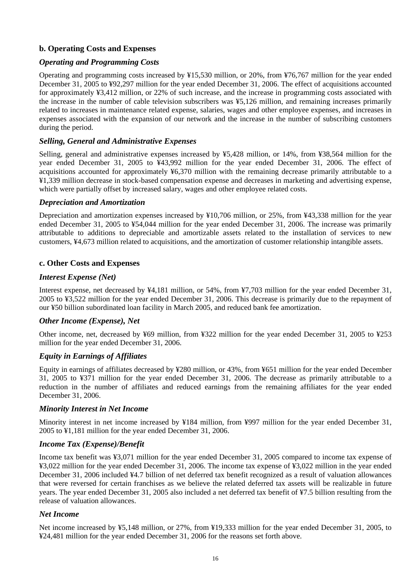# **b. Operating Costs and Expenses**

## *Operating and Programming Costs*

Operating and programming costs increased by ¥15,530 million, or 20%, from ¥76,767 million for the year ended December 31, 2005 to ¥92,297 million for the year ended December 31, 2006. The effect of acquisitions accounted for approximately ¥3,412 million, or 22% of such increase, and the increase in programming costs associated with the increase in the number of cable television subscribers was ¥5,126 million, and remaining increases primarily related to increases in maintenance related expense, salaries, wages and other employee expenses, and increases in expenses associated with the expansion of our network and the increase in the number of subscribing customers during the period.

## *Selling, General and Administrative Expenses*

Selling, general and administrative expenses increased by ¥5,428 million, or 14%, from ¥38,564 million for the year ended December 31, 2005 to ¥43,992 million for the year ended December 31, 2006. The effect of acquisitions accounted for approximately ¥6,370 million with the remaining decrease primarily attributable to a ¥1,339 million decrease in stock-based compensation expense and decreases in marketing and advertising expense, which were partially offset by increased salary, wages and other employee related costs.

## *Depreciation and Amortization*

Depreciation and amortization expenses increased by ¥10,706 million, or 25%, from ¥43,338 million for the year ended December 31, 2005 to ¥54,044 million for the year ended December 31, 2006. The increase was primarily attributable to additions to depreciable and amortizable assets related to the installation of services to new customers, ¥4,673 million related to acquisitions, and the amortization of customer relationship intangible assets.

## **c. Other Costs and Expenses**

## *Interest Expense (Net)*

Interest expense, net decreased by ¥4,181 million, or 54%, from ¥7,703 million for the year ended December 31, 2005 to ¥3,522 million for the year ended December 31, 2006. This decrease is primarily due to the repayment of our ¥50 billion subordinated loan facility in March 2005, and reduced bank fee amortization.

## *Other Income (Expense), Net*

Other income, net, decreased by ¥69 million, from ¥322 million for the year ended December 31, 2005 to ¥253 million for the year ended December 31, 2006.

## *Equity in Earnings of Affiliates*

Equity in earnings of affiliates decreased by ¥280 million, or 43%, from ¥651 million for the year ended December 31, 2005 to ¥371 million for the year ended December 31, 2006. The decrease as primarily attributable to a reduction in the number of affiliates and reduced earnings from the remaining affiliates for the year ended December 31, 2006.

## *Minority Interest in Net Income*

Minority interest in net income increased by ¥184 million, from ¥997 million for the year ended December 31, 2005 to ¥1,181 million for the year ended December 31, 2006.

## *Income Tax (Expense)/Benefit*

Income tax benefit was ¥3,071 million for the year ended December 31, 2005 compared to income tax expense of ¥3,022 million for the year ended December 31, 2006. The income tax expense of ¥3,022 million in the year ended December 31, 2006 included ¥4.7 billion of net deferred tax benefit recognized as a result of valuation allowances that were reversed for certain franchises as we believe the related deferred tax assets will be realizable in future years. The year ended December 31, 2005 also included a net deferred tax benefit of ¥7.5 billion resulting from the release of valuation allowances.

## *Net Income*

Net income increased by ¥5,148 million, or 27%, from ¥19,333 million for the year ended December 31, 2005, to ¥24,481 million for the year ended December 31, 2006 for the reasons set forth above.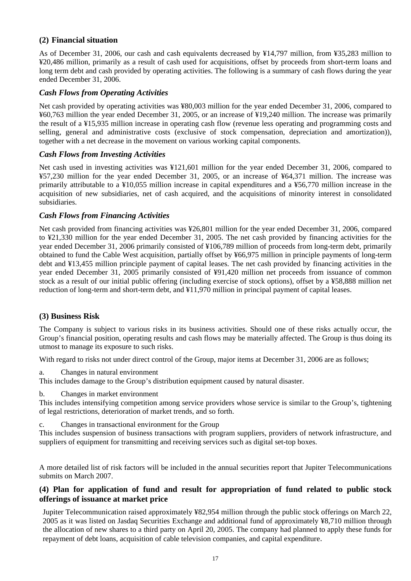## **(2) Financial situation**

As of December 31, 2006, our cash and cash equivalents decreased by ¥14,797 million, from ¥35,283 million to ¥20,486 million, primarily as a result of cash used for acquisitions, offset by proceeds from short-term loans and long term debt and cash provided by operating activities. The following is a summary of cash flows during the year ended December 31, 2006.

## *Cash Flows from Operating Activities*

Net cash provided by operating activities was ¥80,003 million for the year ended December 31, 2006, compared to ¥60,763 million the year ended December 31, 2005, or an increase of ¥19,240 million. The increase was primarily the result of a ¥15,935 million increase in operating cash flow (revenue less operating and programming costs and selling, general and administrative costs (exclusive of stock compensation, depreciation and amortization)), together with a net decrease in the movement on various working capital components.

## *Cash Flows from Investing Activities*

Net cash used in investing activities was ¥121,601 million for the year ended December 31, 2006, compared to ¥57,230 million for the year ended December 31, 2005, or an increase of ¥64,371 million. The increase was primarily attributable to a ¥10,055 million increase in capital expenditures and a ¥56,770 million increase in the acquisition of new subsidiaries, net of cash acquired, and the acquisitions of minority interest in consolidated subsidiaries.

## *Cash Flows from Financing Activities*

Net cash provided from financing activities was ¥26,801 million for the year ended December 31, 2006, compared to ¥21,330 million for the year ended December 31, 2005. The net cash provided by financing activities for the year ended December 31, 2006 primarily consisted of ¥106,789 million of proceeds from long-term debt, primarily obtained to fund the Cable West acquisition, partially offset by ¥66,975 million in principle payments of long-term debt and ¥13,455 million principle payment of capital leases. The net cash provided by financing activities in the year ended December 31, 2005 primarily consisted of ¥91,420 million net proceeds from issuance of common stock as a result of our initial public offering (including exercise of stock options), offset by a ¥58,888 million net reduction of long-term and short-term debt, and ¥11,970 million in principal payment of capital leases.

## **(3) Business Risk**

The Company is subject to various risks in its business activities. Should one of these risks actually occur, the Group's financial position, operating results and cash flows may be materially affected. The Group is thus doing its utmost to manage its exposure to such risks.

With regard to risks not under direct control of the Group, major items at December 31, 2006 are as follows;

a. Changes in natural environment

This includes damage to the Group's distribution equipment caused by natural disaster.

b. Changes in market environment

This includes intensifying competition among service providers whose service is similar to the Group's, tightening of legal restrictions, deterioration of market trends, and so forth.

c. Changes in transactional environment for the Group

This includes suspension of business transactions with program suppliers, providers of network infrastructure, and suppliers of equipment for transmitting and receiving services such as digital set-top boxes.

A more detailed list of risk factors will be included in the annual securities report that Jupiter Telecommunications submits on March 2007.

## **(4) Plan for application of fund and result for appropriation of fund related to public stock offerings of issuance at market price**

Jupiter Telecommunication raised approximately ¥82,954 million through the public stock offerings on March 22, 2005 as it was listed on Jasdaq Securities Exchange and additional fund of approximately ¥8,710 million through the allocation of new shares to a third party on April 20, 2005. The company had planned to apply these funds for repayment of debt loans, acquisition of cable television companies, and capital expenditure.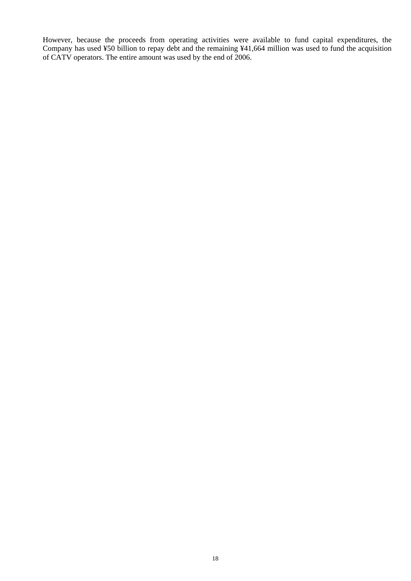However, because the proceeds from operating activities were available to fund capital expenditures, the Company has used ¥50 billion to repay debt and the remaining ¥41,664 million was used to fund the acquisition of CATV operators. The entire amount was used by the end of 2006.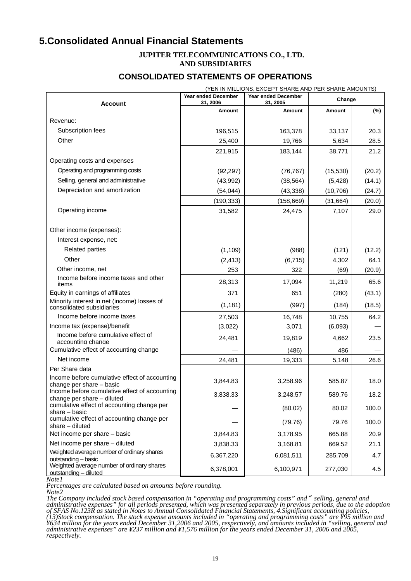# **5.Consolidated Annual Financial Statements**

#### **JUPITER TELECOMMUNICATIONS CO., LTD. AND SUBSIDIARIES**

## **CONSOLIDATED STATEMENTS OF OPERATIONS**

| (YEN IN MILLIONS, EXCEPT SHARE AND PER SHARE AMOUNTS)                       |                                        |                                        |           |        |  |
|-----------------------------------------------------------------------------|----------------------------------------|----------------------------------------|-----------|--------|--|
| Account                                                                     | <b>Year ended December</b><br>31, 2006 | <b>Year ended December</b><br>31, 2005 | Change    |        |  |
|                                                                             | Amount                                 | <b>Amount</b>                          | Amount    | $(\%)$ |  |
| Revenue:                                                                    |                                        |                                        |           |        |  |
| Subscription fees                                                           | 196,515                                | 163,378                                | 33,137    | 20.3   |  |
| Other                                                                       | 25,400                                 | 19,766                                 | 5,634     | 28.5   |  |
|                                                                             | 221,915                                | 183,144                                | 38,771    | 21.2   |  |
| Operating costs and expenses                                                |                                        |                                        |           |        |  |
| Operating and programming costs                                             | (92, 297)                              | (76, 767)                              | (15, 530) | (20.2) |  |
| Selling, general and administrative                                         | (43,992)                               | (38, 564)                              | (5, 428)  | (14.1) |  |
| Depreciation and amortization                                               | (54, 044)                              | (43, 338)                              | (10, 706) | (24.7) |  |
|                                                                             | (190, 333)                             | (158, 669)                             | (31, 664) | (20.0) |  |
| Operating income                                                            | 31,582                                 | 24,475                                 | 7,107     | 29.0   |  |
| Other income (expenses):                                                    |                                        |                                        |           |        |  |
| Interest expense, net:                                                      |                                        |                                        |           |        |  |
| <b>Related parties</b>                                                      | (1, 109)                               | (988)                                  | (121)     | (12.2) |  |
| Other                                                                       | (2, 413)                               | (6, 715)                               | 4,302     | 64.1   |  |
| Other income, net                                                           | 253                                    | 322                                    | (69)      | (20.9) |  |
| Income before income taxes and other<br>items                               | 28,313                                 | 17,094                                 | 11,219    | 65.6   |  |
| Equity in earnings of affiliates                                            | 371                                    | 651                                    | (280)     | (43.1) |  |
| Minority interest in net (income) losses of<br>consolidated subsidiaries    | (1, 181)                               | (997)                                  | (184)     | (18.5) |  |
| Income before income taxes                                                  | 27,503                                 | 16,748                                 | 10,755    | 64.2   |  |
| Income tax (expense)/benefit                                                | (3,022)                                | 3,071                                  | (6,093)   |        |  |
| Income before cumulative effect of<br>accounting change                     | 24,481                                 | 19,819                                 | 4,662     | 23.5   |  |
| Cumulative effect of accounting change                                      |                                        | (486)                                  | 486       |        |  |
| Net income                                                                  | 24,481                                 | 19,333                                 | 5,148     | 26.6   |  |
| Per Share data                                                              |                                        |                                        |           |        |  |
| Income before cumulative effect of accounting<br>change per share - basic   | 3,844.83                               | 3,258.96                               | 585.87    | 18.0   |  |
| Income before cumulative effect of accounting<br>change per share - diluted | 3,838.33                               | 3,248.57                               | 589.76    | 18.2   |  |
| cumulative effect of accounting change per<br>share - basic                 |                                        | (80.02)                                | 80.02     | 100.0  |  |
| cumulative effect of accounting change per<br>$share$ – diluted             |                                        | (79.76)                                | 79.76     | 100.0  |  |
| Net income per share - basic                                                | 3,844.83                               | 3,178.95                               | 665.88    | 20.9   |  |
| Net income per share - diluted                                              | 3,838.33                               | 3,168.81                               | 669.52    | 21.1   |  |
| Weighted average number of ordinary shares<br>outstanding - basic           | 6,367,220                              | 6,081,511                              | 285,709   | 4.7    |  |
| Weighted average number of ordinary shares<br>outstanding - diluted         | 6,378,001                              | 6,100,971                              | 277,030   | 4.5    |  |

*Note1*<br>*Note1*<br>*Percentages are calculated based on amounts before rounding. Percentages are calculated based on amounts before rounding. Note2*

*The Company included stock based compensation in "operating and programming costs" and*"*selling, general and*  administrative expenses" for all periods presented, which was presented separately in previous periods, due to the adoption<br>of SFAS No.123R as stated in Notes to Annual Consolidated Financial Statements, 4.Significant acco *(13)Stock compensation. The stock expense amounts included in "operating and programming costs" are ¥95 million and ¥634 million for the years ended December 31,2006 and 2005, respectively, and amounts included in "selling, general and administrative expenses" are ¥237 million and ¥1,576 million for the years ended December 31, 2006 and 2005, respectively.*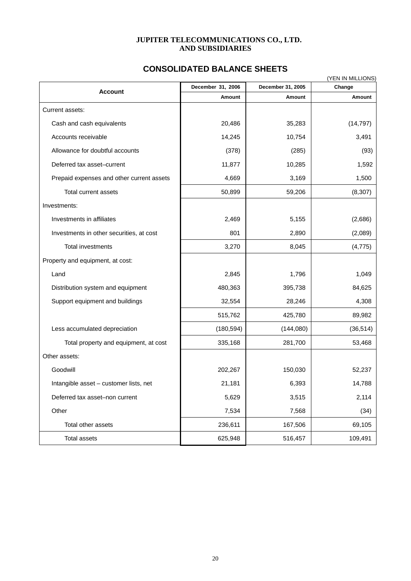#### **JUPITER TELECOMMUNICATIONS CO., LTD. AND SUBSIDIARIES**

# **CONSOLIDATED BALANCE SHEETS**

| (YEN IN MILLIONS)                         |                   |                   |           |  |  |
|-------------------------------------------|-------------------|-------------------|-----------|--|--|
| <b>Account</b>                            | December 31, 2006 | December 31, 2005 | Change    |  |  |
|                                           | Amount            | Amount            | Amount    |  |  |
| Current assets:                           |                   |                   |           |  |  |
| Cash and cash equivalents                 | 20,486            | 35,283            | (14, 797) |  |  |
| Accounts receivable                       | 14,245            | 10,754            | 3,491     |  |  |
| Allowance for doubtful accounts           | (378)             | (285)             | (93)      |  |  |
| Deferred tax asset-current                | 11,877            | 10,285            | 1,592     |  |  |
| Prepaid expenses and other current assets | 4,669             | 3,169             | 1,500     |  |  |
| Total current assets                      | 50,899            | 59,206            | (8, 307)  |  |  |
| Investments:                              |                   |                   |           |  |  |
| Investments in affiliates                 | 2,469             | 5,155             | (2,686)   |  |  |
| Investments in other securities, at cost  | 801               | 2,890             | (2,089)   |  |  |
| Total investments                         | 3,270             | 8,045             | (4, 775)  |  |  |
| Property and equipment, at cost:          |                   |                   |           |  |  |
| Land                                      | 2,845             | 1,796             | 1,049     |  |  |
| Distribution system and equipment         | 480,363           | 395,738           | 84,625    |  |  |
| Support equipment and buildings           | 32,554            | 28,246            | 4,308     |  |  |
|                                           | 515,762           | 425,780           | 89,982    |  |  |
| Less accumulated depreciation             | (180, 594)        | (144,080)         | (36, 514) |  |  |
| Total property and equipment, at cost     | 335,168           | 281,700           | 53,468    |  |  |
| Other assets:                             |                   |                   |           |  |  |
| Goodwill                                  | 202,267           | 150,030           | 52,237    |  |  |
| Intangible asset – customer lists, net    | 21,181            | 6,393             | 14,788    |  |  |
| Deferred tax asset-non current            | 5,629             | 3,515             | 2,114     |  |  |
| Other                                     | 7,534             | 7,568             | (34)      |  |  |
| Total other assets                        | 236,611           | 167,506           | 69,105    |  |  |
| <b>Total assets</b>                       | 625,948           | 516,457           | 109,491   |  |  |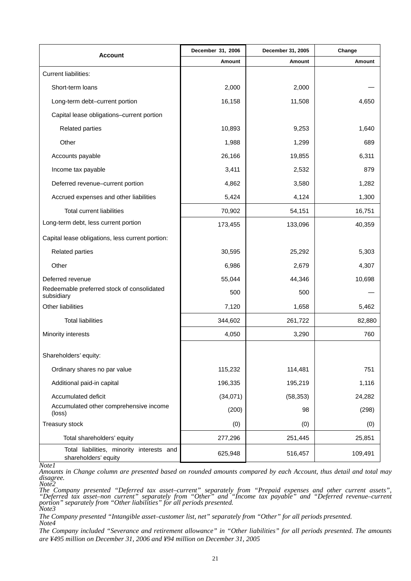| <b>Account</b>                                                    | December 31, 2006 | December 31, 2005 | Change  |
|-------------------------------------------------------------------|-------------------|-------------------|---------|
|                                                                   | Amount            | Amount            | Amount  |
| <b>Current liabilities:</b>                                       |                   |                   |         |
| Short-term loans                                                  | 2,000             | 2,000             |         |
| Long-term debt-current portion                                    | 16,158            | 11,508            | 4,650   |
| Capital lease obligations-current portion                         |                   |                   |         |
| <b>Related parties</b>                                            | 10,893            | 9,253             | 1,640   |
| Other                                                             | 1,988             | 1,299             | 689     |
| Accounts payable                                                  | 26,166            | 19,855            | 6,311   |
| Income tax payable                                                | 3,411             | 2,532             | 879     |
| Deferred revenue-current portion                                  | 4,862             | 3,580             | 1,282   |
| Accrued expenses and other liabilities                            | 5,424             | 4,124             | 1,300   |
| <b>Total current liabilities</b>                                  | 70,902            | 54,151            | 16,751  |
| Long-term debt, less current portion                              | 173,455           | 133,096           | 40,359  |
| Capital lease obligations, less current portion:                  |                   |                   |         |
| <b>Related parties</b>                                            | 30,595            | 25,292            | 5,303   |
| Other                                                             | 6,986             | 2,679             | 4,307   |
| Deferred revenue                                                  | 55,044            | 44,346            | 10,698  |
| Redeemable preferred stock of consolidated<br>subsidiary          | 500               | 500               |         |
| Other liabilities                                                 | 7,120             | 1,658             | 5,462   |
| <b>Total liabilities</b>                                          | 344,602           | 261,722           | 82,880  |
| Minority interests                                                | 4,050             | 3,290             | 760     |
|                                                                   |                   |                   |         |
| Shareholders' equity:                                             |                   |                   |         |
| Ordinary shares no par value                                      | 115,232           | 114,481           | 751     |
| Additional paid-in capital                                        | 196,335           | 195,219           | 1,116   |
| Accumulated deficit                                               | (34,071)          | (58, 353)         | 24,282  |
| Accumulated other comprehensive income<br>(loss)                  | (200)             | 98                | (298)   |
| Treasury stock                                                    | (0)               | (0)               | (0)     |
| Total shareholders' equity                                        | 277,296           | 251,445           | 25,851  |
| Total liabilities, minority interests and<br>shareholders' equity | 625,948           | 516,457           | 109,491 |

*Note1*

*Amounts in Change column are presented based on rounded amounts compared by each Account, thus detail and total may disagree. Note2*

*The Company presented "Deferred tax asset–current" separately from "Prepaid expenses and other current assets", "Deferred tax asset–non current" separately from "Other" and "Income tax payable" and "Deferred revenue–current portion" separately from "Other liabilities" for all periods presented. Note3*

*The Company presented "Intangible asset–customer list, net" separately from "Other" for all periods presented. Note4*

*The Company included "Severance and retirement allowance" in "Other liabilities" for all periods presented. The amounts are ¥495 million on December 31, 2006 and ¥94 million on December 31, 2005*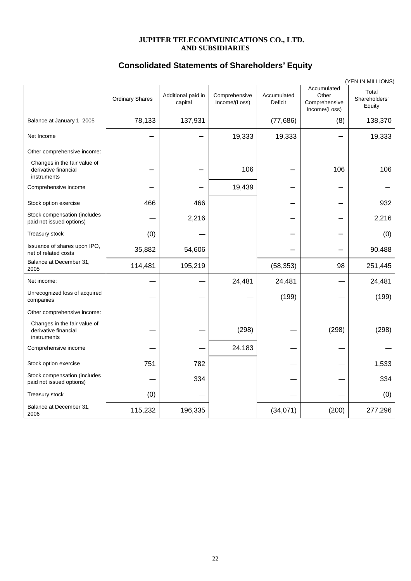#### **JUPITER TELECOMMUNICATIONS CO., LTD. AND SUBSIDIARIES**

# **Consolidated Statements of Shareholders' Equity**

|                                                                     |                        |                               |                                |                        |                                                        | (YEN IN MILLIONS)                |
|---------------------------------------------------------------------|------------------------|-------------------------------|--------------------------------|------------------------|--------------------------------------------------------|----------------------------------|
|                                                                     | <b>Ordinary Shares</b> | Additional paid in<br>capital | Comprehensive<br>Income/(Loss) | Accumulated<br>Deficit | Accumulated<br>Other<br>Comprehensive<br>Income/(Loss) | Total<br>Shareholders'<br>Equity |
| Balance at January 1, 2005                                          | 78,133                 | 137,931                       |                                | (77,686)               | (8)                                                    | 138,370                          |
| Net Income                                                          |                        |                               | 19,333                         | 19,333                 |                                                        | 19,333                           |
| Other comprehensive income:                                         |                        |                               |                                |                        |                                                        |                                  |
| Changes in the fair value of<br>derivative financial<br>instruments |                        |                               | 106                            |                        | 106                                                    | 106                              |
| Comprehensive income                                                |                        |                               | 19,439                         |                        |                                                        |                                  |
| Stock option exercise                                               | 466                    | 466                           |                                |                        |                                                        | 932                              |
| Stock compensation (includes<br>paid not issued options)            |                        | 2,216                         |                                |                        |                                                        | 2,216                            |
| Treasury stock                                                      | (0)                    |                               |                                |                        |                                                        | (0)                              |
| Issuance of shares upon IPO,<br>net of related costs                | 35,882                 | 54,606                        |                                |                        |                                                        | 90,488                           |
| Balance at December 31,<br>2005                                     | 114,481                | 195,219                       |                                | (58, 353)              | 98                                                     | 251,445                          |
| Net income:                                                         |                        |                               | 24,481                         | 24,481                 |                                                        | 24,481                           |
| Unrecognized loss of acquired<br>companies                          |                        |                               |                                | (199)                  |                                                        | (199)                            |
| Other comprehensive income:                                         |                        |                               |                                |                        |                                                        |                                  |
| Changes in the fair value of<br>derivative financial<br>instruments |                        |                               | (298)                          |                        | (298)                                                  | (298)                            |
| Comprehensive income                                                |                        |                               | 24,183                         |                        |                                                        |                                  |
| Stock option exercise                                               | 751                    | 782                           |                                |                        |                                                        | 1,533                            |
| Stock compensation (includes<br>paid not issued options)            |                        | 334                           |                                |                        |                                                        | 334                              |
| Treasury stock                                                      | (0)                    |                               |                                |                        |                                                        | (0)                              |
| Balance at December 31,<br>2006                                     | 115,232                | 196,335                       |                                | (34,071)               | (200)                                                  | 277,296                          |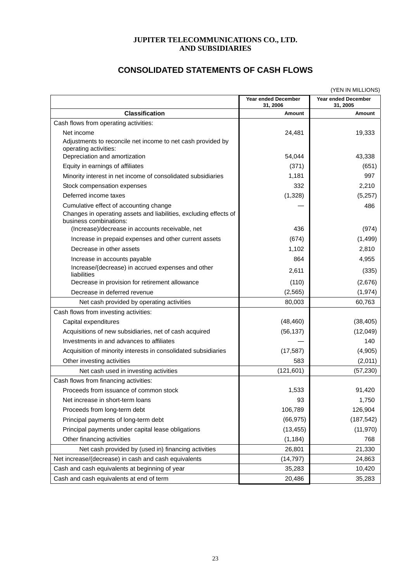#### **JUPITER TELECOMMUNICATIONS CO., LTD. AND SUBSIDIARIES**

| (YEN IN MILLIONS)                                                                                                                     |                                        |                                        |  |
|---------------------------------------------------------------------------------------------------------------------------------------|----------------------------------------|----------------------------------------|--|
|                                                                                                                                       | <b>Year ended December</b><br>31, 2006 | <b>Year ended December</b><br>31, 2005 |  |
| <b>Classification</b>                                                                                                                 | Amount                                 | <b>Amount</b>                          |  |
| Cash flows from operating activities:                                                                                                 |                                        |                                        |  |
| Net income                                                                                                                            | 24,481                                 | 19,333                                 |  |
| Adjustments to reconcile net income to net cash provided by<br>operating activities:                                                  |                                        |                                        |  |
| Depreciation and amortization                                                                                                         | 54.044                                 | 43,338                                 |  |
| Equity in earnings of affiliates                                                                                                      | (371)                                  | (651)                                  |  |
| Minority interest in net income of consolidated subsidiaries                                                                          | 1,181                                  | 997                                    |  |
| Stock compensation expenses                                                                                                           | 332                                    | 2,210                                  |  |
| Deferred income taxes                                                                                                                 | (1,328)                                | (5,257)                                |  |
| Cumulative effect of accounting change<br>Changes in operating assets and liabilities, excluding effects of<br>business combinations: |                                        | 486                                    |  |
| (Increase)/decrease in accounts receivable, net                                                                                       | 436                                    | (974)                                  |  |
| Increase in prepaid expenses and other current assets                                                                                 | (674)                                  | (1, 499)                               |  |
| Decrease in other assets                                                                                                              | 1,102                                  | 2,810                                  |  |
| Increase in accounts payable                                                                                                          | 864                                    | 4,955                                  |  |
| Increase/(decrease) in accrued expenses and other<br>liabilities                                                                      | 2,611                                  | (335)                                  |  |
| Decrease in provision for retirement allowance                                                                                        | (110)                                  | (2,676)                                |  |
| Decrease in deferred revenue                                                                                                          | (2, 565)                               | (1, 974)                               |  |
| Net cash provided by operating activities                                                                                             | 80,003                                 | 60,763                                 |  |
| Cash flows from investing activities:                                                                                                 |                                        |                                        |  |
| Capital expenditures                                                                                                                  | (48, 460)                              | (38, 405)                              |  |
| Acquisitions of new subsidiaries, net of cash acquired                                                                                | (56, 137)                              | (12,049)                               |  |
| Investments in and advances to affiliates                                                                                             |                                        | 140                                    |  |
| Acquisition of minority interests in consolidated subsidiaries                                                                        | (17, 587)                              | (4,905)                                |  |
| Other investing activities                                                                                                            | 583                                    | (2,011)                                |  |
| Net cash used in investing activities                                                                                                 | (121, 601)                             | (57, 230)                              |  |
| Cash flows from financing activities:                                                                                                 |                                        |                                        |  |
| Proceeds from issuance of common stock                                                                                                | 1,533                                  | 91,420                                 |  |
| Net increase in short-term loans                                                                                                      | 93                                     | 1,750                                  |  |
| Proceeds from long-term debt                                                                                                          | 106,789                                | 126,904                                |  |
| Principal payments of long-term debt                                                                                                  | (66, 975)                              | (187, 542)                             |  |
| Principal payments under capital lease obligations                                                                                    | (13, 455)                              | (11, 970)                              |  |
| Other financing activities                                                                                                            | (1, 184)                               | 768                                    |  |
| Net cash provided by (used in) financing activities                                                                                   | 26,801                                 | 21,330                                 |  |
| Net increase/(decrease) in cash and cash equivalents                                                                                  | (14, 797)                              | 24,863                                 |  |
| Cash and cash equivalents at beginning of year                                                                                        | 35,283                                 | 10,420                                 |  |
| Cash and cash equivalents at end of term                                                                                              | 20,486                                 | 35,283                                 |  |

# **CONSOLIDATED STATEMENTS OF CASH FLOWS**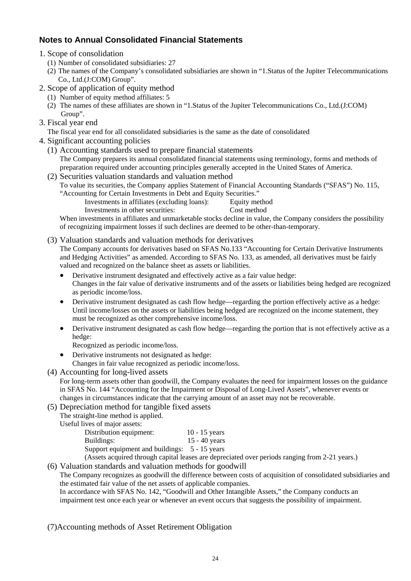# **Notes to Annual Consolidated Financial Statements**

- 1. Scope of consolidation
	- (1) Number of consolidated subsidiaries: 27
	- (2) The names of the Company's consolidated subsidiaries are shown in "1.Status of the Jupiter Telecommunications Co., Ltd.(J:COM) Group".
- 2. Scope of application of equity method
	- (1) Number of equity method affiliates: 5
	- (2) The names of these affiliates are shown in "1.Status of the Jupiter Telecommunications Co., Ltd.(J:COM) Group".
- 3. Fiscal year end

The fiscal year end for all consolidated subsidiaries is the same as the date of consolidated

- 4. Significant accounting policies
	- (1) Accounting standards used to prepare financial statements The Company prepares its annual consolidated financial statements using terminology, forms and methods of preparation required under accounting principles generally accepted in the United States of America.
	- (2) Securities valuation standards and valuation method To value its securities, the Company applies Statement of Financial Accounting Standards ("SFAS") No. 115, "Accounting for Certain Investments in Debt and Equity Securities."
		- Investments in affiliates (excluding loans): Equity method
			- Investments in other securities: Cost method

When investments in affiliates and unmarketable stocks decline in value, the Company considers the possibility of recognizing impairment losses if such declines are deemed to be other-than-temporary.

(3) Valuation standards and valuation methods for derivatives

The Company accounts for derivatives based on SFAS No.133 "Accounting for Certain Derivative Instruments and Hedging Activities" as amended. According to SFAS No. 133, as amended, all derivatives must be fairly valued and recognized on the balance sheet as assets or liabilities.

- Derivative instrument designated and effectively active as a fair value hedge: Changes in the fair value of derivative instruments and of the assets or liabilities being hedged are recognized as periodic income/loss.
- Derivative instrument designated as cash flow hedge—regarding the portion effectively active as a hedge: Until income/losses on the assets or liabilities being hedged are recognized on the income statement, they must be recognized as other comprehensive income/loss.
- Derivative instrument designated as cash flow hedge—regarding the portion that is not effectively active as a hedge:
	- Recognized as periodic income/loss.
- Derivative instruments not designated as hedge: Changes in fair value recognized as periodic income/loss.
- (4) Accounting for long-lived assets

For long-term assets other than goodwill, the Company evaluates the need for impairment losses on the guidance in SFAS No. 144 "Accounting for the Impairment or Disposal of Long-Lived Assets", whenever events or changes in circumstances indicate that the carrying amount of an asset may not be recoverable.

(5) Depreciation method for tangible fixed assets

The straight-line method is applied.

Useful lives of major assets:

| Distribution equipment:                       | $10 - 15$ years |  |
|-----------------------------------------------|-----------------|--|
| Buildings:                                    | $15 - 40$ years |  |
| Support equipment and buildings: 5 - 15 years |                 |  |
|                                               |                 |  |

(Assets acquired through capital leases are depreciated over periods ranging from 2-21 years.)

# (6) Valuation standards and valuation methods for goodwill

The Company recognizes as goodwill the difference between costs of acquisition of consolidated subsidiaries and the estimated fair value of the net assets of applicable companies.

In accordance with SFAS No. 142, "Goodwill and Other Intangible Assets," the Company conducts an impairment test once each year or whenever an event occurs that suggests the possibility of impairment.

(7)Accounting methods of Asset Retirement Obligation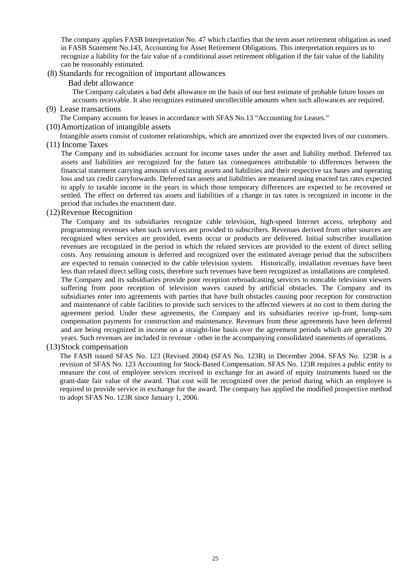The company applies FASB Interpretation No. 47 which clarifies that the term asset retirement obligation as used in FASB Statement No.143, Accounting for Asset Retirement Obligations. This interpretation requires us to recognize a liability for the fair value of a conditional asset retirement obligation if the fair value of the liability can be reasonably estimated.

#### (8) Stan dards for recognition of important allowances

#### B ad debt allowance

The Company calculates a bad debt allowance on the basis of our best estimate of probable future losses on accounts receivable. It also recognizes estimated uncollectible amounts when such allowances are required.

(9) Lease transactions

The Company accounts for leases in accordance with SFAS No.13 "Accounting for Leases."

(10) Amortization of intangible assets

Intangible assets consist of customer relationships, which are amortized over the expected lives of our customers.

(11) Income Taxes

to apply to taxable income in the years in which those temporary differences are expected to be recovered or settled. The effect on deferred tax assets and liabilities of a change in tax rates is recognized in income in the The Company and its subsidiaries account for income taxes under the asset and liability method. Deferred tax assets and liabilities are recognized for the future tax consequences attributable to differences between the financial statement carrying amounts of existing assets and liabilities and their respective tax bases and operating loss and tax credit carryforwards. Deferred tax assets and liabilities are measured using enacted tax rates expected period that includes the enactment date.

(12) Revenue Recognition

The Company and its subsidiaries recognize cable television, high-speed Internet access, telephony and programming revenues when such services are provided to subscribers. Revenues derived from other sources are recognized when services are provided, events occur or products are delivered. Initial subscriber installation revenues are recognized in the period in which the related services are provided to the extent of direct selling costs. Any remaining amount is deferred and recognized over the estimated average period that the subscribers are expected to remain connected to the cable television system. Historically, installation revenues have been less than related direct selling costs, therefore such revenues have been recognized as installations are completed. The Company and its subsidiaries provide poor reception rebroadcasting services to noncable television viewers suffering from poor reception of television waves caused by artificial obstacles. The Company and its subsidiaries enter into agreements with parties that have built obstacles causing poor reception for construction and maintenance of cable facilities to provide such services to the affected viewers at no cost to them during the

and are being recognized in income on a straight-line basis over the agreement periods which are generally 20 agreement period. Under these agreements, the Company and its subsidiaries receive up-front, lump-sum compensation payments for construction and maintenance. Revenues from these agreements have been deferred years. Such revenues are included in revenue - other in the accompanying consolidated statements of operations.

(13 )Stock compensation

grant-date fair value of the award. That cost will be recognized over the period during which an employee is required to provide service in exchange for the award. The company has applied the modified prospective method to adopt SFAS No. 123R since January 1, 2006. The FASB issued SFAS No. 123 (Revised 2004) (SFAS No. 123R) in December 2004. SFAS No. 123R is a revision of SFAS No. 123 Accounting for Stock-Based Compensation. SFAS No. 123R requires a public entity to measure the cost of employee services received in exchange for an award of equity instruments based on the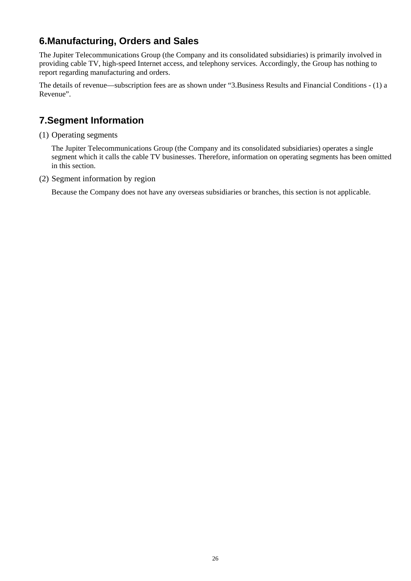# **6.Manufacturing, Orders and Sales**

The Jupiter Telecommunications Group (the Company and its consolidated subsidiaries) is primarily involved in providing cable TV, high-speed Internet access, and telephony services. Accordingly, the Group has nothing to report regarding manufacturing and orders.

The details of revenue—subscription fees are as shown under "3.Business Results and Financial Conditions - (1) a Revenue".

# **7.Segment Information**

(1) Operating segments

The Jupiter Telecommunications Group (the Company and its consolidated subsidiaries) operates a single segment which it calls the cable TV businesses. Therefore, information on operating segments has been omitted in this section.

(2) Segment information by region

Because the Company does not have any overseas subsidiaries or branches, this section is not applicable.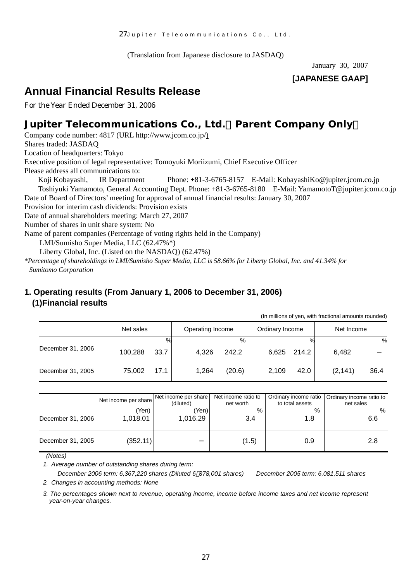(Translation from Japanese disclosure to JASDAQ)

January 30, 2007

# **[JAPANESE GAAP]**

# **Annual Financial Results Release**

For the Year Ended December 31, 2006

# **Jupiter Telecommunications Co., Ltd.**(**Parent Company Only**)

Company code number: 4817 (URL http://www.jcom.co.jp/) Shares traded: JASDAQ Location of headquarters: Tokyo Executive position of legal representative: Tomoyuki Moriizumi, Chief Executive Officer Please address all communications to:

Koji Kobayashi, IR Department Phone: +81-3-6765-8157 E-Mail: KobayashiKo@jupiter.jcom.co.jp Toshiyuki Yamamoto, General Accounting Dept. Phone: +81-3-6765-8180 E-Mail: YamamotoT@jupiter.jcom.co.jp Date of Board of Directors' meeting for approval of annual financial results: January 30, 2007

Provision for interim cash dividends: Provision exists

Date of annual shareholders meeting: March 27, 2007

Number of shares in unit share system: No

Name of parent companies (Percentage of voting rights held in the Company)

LMI/Sumisho Super Media, LLC (62.47%\*)

Liberty Global, Inc. (Listed on the NASDAQ) (62.47%)

*\*Percentage of shareholdings in LMI/Sumisho Super Media, LLC is 58.66% for Liberty Global, Inc. and 41.34% for Sumitomo Corporation*

# **1. Operating results (From January 1, 2006 to December 31, 2006) (1)Financial results**

(In millions of yen, with fractional amounts rounded)

|                   | Net sales |      | Operating Income |        | Ordinary Income |       | Net Income |      |
|-------------------|-----------|------|------------------|--------|-----------------|-------|------------|------|
|                   |           | ℅    |                  | ℅      |                 | $\%$  |            | %    |
| December 31, 2006 | 100,288   | 33.7 | 4,326            | 242.2  | 6,625           | 214.2 | 6,482      |      |
| December 31, 2005 | 75,002    | 17.1 | 1,264            | (20.6) | 2,109           | 42.0  | (2, 141)   | 36.4 |

|                   | Net income per share | Net income per share<br>(diluted) | Net income ratio to<br>net worth | Ordinary income ratio<br>to total assets | Ordinary income ratio to<br>net sales |
|-------------------|----------------------|-----------------------------------|----------------------------------|------------------------------------------|---------------------------------------|
| December 31, 2006 | 'Yen)<br>1.018.01    | (Yen)<br>1,016.29                 | $\%$<br>3.4                      | %<br>1.8                                 | %<br>6.6                              |
| December 31, 2005 | (352.11)             |                                   | (1.5)                            | 0.9                                      | 2.8                                   |

 *(Notes)* 

*1. Average number of outstanding shares during term:* 

*December 2006 term: 6,367,220 shares (Diluted 6 378,001 shares) December 2005 term: 6,081,511 shares 2. Changes in accounting methods: None*

*3. The percentages shown next to revenue, operating income, income before income taxes and net income represent year-on-year changes.*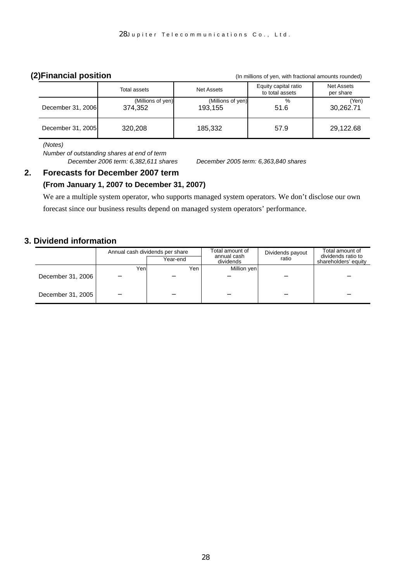**(2)Financial position** (In millions of yen, with fractional amounts rounded)

|                   | Total assets                 | <b>Net Assets</b>            | Equity capital ratio<br>to total assets | <b>Net Assets</b><br>per share |
|-------------------|------------------------------|------------------------------|-----------------------------------------|--------------------------------|
| December 31, 2006 | (Millions of yen)<br>374.352 | (Millions of yen)<br>193,155 | %<br>51.6                               | (Yen)<br>30,262.71             |
| December 31, 2005 | 320,208                      | 185,332                      | 57.9                                    | 29,122.68                      |

*(Notes)* 

*Number of outstanding shares at end of term December 2006 term: 6,382,611 shares December 2005 term: 6,363,840 shares* 

# **2. Forecasts for December 2007 term**

# **(From January 1, 2007 to December 31, 2007)**

We are a multiple system operator, who supports managed system operators. We don't disclose our own forecast since our business results depend on managed system operators' performance.

# **3. Dividend information**

|                   |      | Annual cash dividends per share | Total amount of<br>annual cash | Dividends payout | Total amount of<br>dividends ratio to |  |
|-------------------|------|---------------------------------|--------------------------------|------------------|---------------------------------------|--|
|                   |      | Year-end                        | dividends                      | ratio            | shareholders' equity                  |  |
|                   | Yenl | Yen                             | Million yen                    |                  |                                       |  |
| December 31, 2006 |      |                                 |                                |                  |                                       |  |
| December 31, 2005 |      |                                 |                                |                  |                                       |  |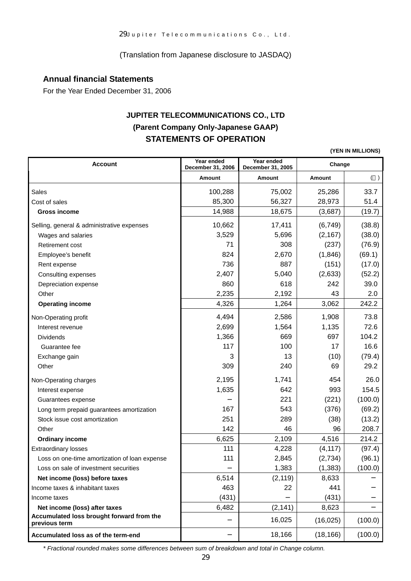(Translation from Japanese disclosure to JASDAQ)

## **Annual financial Statements**

For the Year Ended December 31, 2006

# **JUPITER TELECOMMUNICATIONS CO., LTD (Parent Company Only-Japanese GAAP) STATEMENTS OF OPERATION**

**(YEN IN MILLIONS)**

| <b>Account</b>                                             | Year ended<br>December 31, 2006 | Year ended<br>December 31, 2005 | Change        |         |
|------------------------------------------------------------|---------------------------------|---------------------------------|---------------|---------|
|                                                            | Amount                          | Amount                          | <b>Amount</b> | ( )     |
| Sales                                                      | 100,288                         | 75,002                          | 25,286        | 33.7    |
| Cost of sales                                              | 85,300                          | 56,327                          | 28,973        | 51.4    |
| <b>Gross income</b>                                        | 14,988                          | 18,675                          | (3,687)       | (19.7)  |
| Selling, general & administrative expenses                 | 10,662                          | 17,411                          | (6, 749)      | (38.8)  |
| Wages and salaries                                         | 3,529                           | 5,696                           | (2, 167)      | (38.0)  |
| Retirement cost                                            | 71                              | 308                             | (237)         | (76.9)  |
| Employee's benefit                                         | 824                             | 2,670                           | (1,846)       | (69.1)  |
| Rent expense                                               | 736                             | 887                             | (151)         | (17.0)  |
| Consulting expenses                                        | 2,407                           | 5,040                           | (2,633)       | (52.2)  |
| Depreciation expense                                       | 860                             | 618                             | 242           | 39.0    |
| Other                                                      | 2,235                           | 2,192                           | 43            | 2.0     |
| <b>Operating income</b>                                    | 4,326                           | 1,264                           | 3,062         | 242.2   |
| Non-Operating profit                                       | 4,494                           | 2,586                           | 1,908         | 73.8    |
| Interest revenue                                           | 2,699                           | 1,564                           | 1,135         | 72.6    |
| <b>Dividends</b>                                           | 1,366                           | 669                             | 697           | 104.2   |
| Guarantee fee                                              | 117                             | 100                             | 17            | 16.6    |
| Exchange gain                                              | 3                               | 13                              | (10)          | (79.4)  |
| Other                                                      | 309                             | 240                             | 69            | 29.2    |
| Non-Operating charges                                      | 2,195                           | 1,741                           | 454           | 26.0    |
| Interest expense                                           | 1,635                           | 642                             | 993           | 154.5   |
| Guarantees expense                                         |                                 | 221                             | (221)         | (100.0) |
| Long term prepaid guarantees amortization                  | 167                             | 543                             | (376)         | (69.2)  |
| Stock issue cost amortization                              | 251                             | 289                             | (38)          | (13.2)  |
| Other                                                      | 142                             | 46                              | 96            | 208.7   |
| <b>Ordinary income</b>                                     | 6,625                           | 2,109                           | 4,516         | 214.2   |
| <b>Extraordinary losses</b>                                | 111                             | 4,228                           | (4, 117)      | (97.4)  |
| Loss on one-time amortization of loan expense              | 111                             | 2,845                           | (2,734)       | (96.1)  |
| Loss on sale of investment securities                      |                                 | 1,383                           | (1, 383)      | (100.0) |
| Net income (loss) before taxes                             | 6,514                           | (2, 119)                        | 8,633         |         |
| Income taxes & inhabitant taxes                            | 463                             | 22                              | 441           |         |
| Income taxes                                               | (431)                           |                                 | (431)         |         |
| Net income (loss) after taxes                              | 6,482                           | (2, 141)                        | 8,623         |         |
| Accumulated loss brought forward from the<br>previous term |                                 | 16,025                          | (16, 025)     | (100.0) |
| Accumulated loss as of the term-end                        |                                 | 18,166                          | (18, 166)     | (100.0) |

*\* Fractional rounded makes some differences between sum of breakdown and total in Change column.*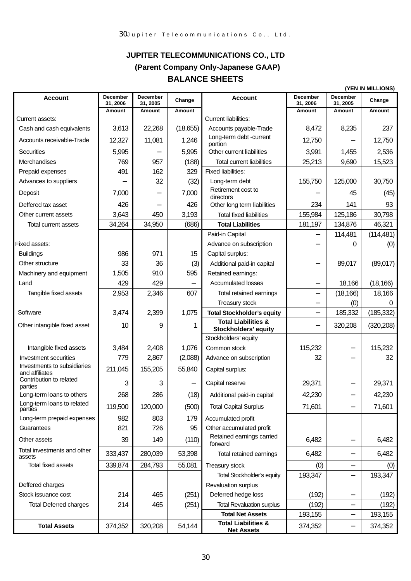# **JUPITER TELECOMMUNICATIONS CO., LTD (Parent Company Only-Japanese GAAP) BALANCE SHEETS**

|                                           |                      |                      |          |                                                        | (YEN IN MILLIONS)           |                      |            |
|-------------------------------------------|----------------------|----------------------|----------|--------------------------------------------------------|-----------------------------|----------------------|------------|
| <b>Account</b>                            | December<br>31, 2006 | December<br>31, 2005 | Change   | <b>Account</b>                                         | <b>December</b><br>31, 2006 | December<br>31, 2005 | Change     |
|                                           | <b>Amount</b>        | Amount               | Amount   |                                                        | Amount                      | Amount               | Amount     |
| Current assets:                           |                      |                      |          | <b>Current liabilities:</b>                            |                             |                      |            |
| Cash and cash equivalents                 | 3,613                | 22,268               | (18,655) | Accounts payable-Trade<br>Long-term debt -current      | 8,472                       | 8,235                | 237        |
| Accounts receivable-Trade                 | 12,327               | 11,081               | 1,246    | portion                                                | 12,750                      |                      | 12,750     |
| Securities                                | 5,995                |                      | 5,995    | Other current liabilities                              | 3,991                       | 1,455                | 2,536      |
| Merchandises                              | 769                  | 957                  | (188)    | <b>Total current liabilities</b>                       | 25,213                      | 9,690                | 15,523     |
| Prepaid expenses                          | 491                  | 162                  | 329      | <b>Fixed liabilities:</b>                              |                             |                      |            |
| Advances to suppliers                     |                      | 32                   | (32)     | Long-term debt                                         | 155,750                     | 125,000              | 30,750     |
| Deposit                                   | 7,000                |                      | 7,000    | Retirement cost to<br>directors                        |                             | 45                   | (45)       |
| Deffered tax asset                        | 426                  |                      | 426      | Other long term liabilities                            | 234                         | 141                  | 93         |
| Other current assets                      | 3,643                | 450                  | 3,193    | <b>Total fixed liabilities</b>                         | 155,984                     | 125,186              | 30,798     |
| <b>Total current assets</b>               | 34,264               | 34,950               | (686)    | <b>Total Liabilities</b>                               | 181,197                     | 134,876              | 46,321     |
|                                           |                      |                      |          | Paid-in Capital                                        |                             | 114,481              | (114, 481) |
| Fixed assets:                             |                      |                      |          | Advance on subscription                                |                             | 0                    | (0)        |
| <b>Buildings</b>                          | 986                  | 971                  | 15       | Capital surplus:                                       |                             |                      |            |
| Other structure                           | 33                   | 36                   | (3)      | Additional paid-in capital                             |                             | 89,017               | (89,017)   |
| Machinery and equipment                   | 1,505                | 910                  | 595      | Retained earnings:                                     |                             |                      |            |
| Land                                      | 429                  | 429                  |          | <b>Accumulated losses</b>                              |                             | 18,166               | (18, 166)  |
| Tangible fixed assets                     | 2,953                | 2,346                | 607      | Total retained earnings                                |                             | (18, 166)            | 18,166     |
|                                           |                      |                      |          | Treasury stock                                         |                             | (0)                  | $\Omega$   |
| Software                                  | 3,474                | 2,399                | 1,075    | <b>Total Stockholder's equity</b>                      |                             | 185,332              | (185, 332) |
| Other intangible fixed asset              | 10                   | 9                    | 1        | <b>Total Liabilities &amp;</b><br>Stockholders' equity |                             | 320,208              | (320, 208) |
|                                           |                      |                      |          | Stockholders' equity                                   |                             |                      |            |
| Intangible fixed assets                   | 3,484                | 2,408                | 1,076    | Common stock                                           | 115,232                     |                      | 115,232    |
| Investment securities                     | 779                  | 2,867                | (2,088)  | Advance on subscription                                | 32                          |                      | 32         |
| Investments to subsidiaries               | 211,045              | 155,205              | 55,840   | Capital surplus:                                       |                             |                      |            |
| and affiliates<br>Contribution to related | 3                    | 3                    |          | Capital reserve                                        | 29,371                      |                      | 29,371     |
| parties<br>Long-term loans to others      | 268                  | 286                  | (18)     | Additional paid-in capital                             | 42,230                      |                      | 42,230     |
| Long-term loans to related                |                      |                      |          |                                                        |                             |                      |            |
| parties                                   | 119,500              | 120,000              | (500)    | <b>Total Capital Surplus</b>                           | 71,601                      |                      | 71,601     |
| Long-term prepaid expenses                | 982                  | 803                  | 179      | Accumulated profit                                     |                             |                      |            |
| Guarantees                                | 821                  | 726                  | 95       | Other accumulated profit<br>Retained earnings carried  |                             |                      |            |
| Other assets                              | 39                   | 149                  | (110)    | forward                                                | 6,482                       |                      | 6,482      |
| Total investments and other<br>assets     | 333,437              | 280,039              | 53,398   | Total retained earnings                                | 6,482                       |                      | 6,482      |
| <b>Total fixed assets</b>                 | 339,874              | 284,793              | 55,081   | Treasury stock                                         | (0)                         |                      | (0)        |
|                                           |                      |                      |          | <b>Total Stockholder's equity</b>                      | 193,347                     |                      | 193,347    |
| Deffered charges                          |                      |                      |          | Revaluation surplus                                    |                             |                      |            |
| Stock issuance cost                       | 214                  | 465                  | (251)    | Deferred hedge loss                                    | (192)                       |                      | (192)      |
| <b>Total Deferred charges</b>             | 214                  | 465                  | (251)    | <b>Total Revaluation surplus</b>                       | (192)                       |                      | (192)      |
|                                           |                      |                      |          | <b>Total Net Assets</b>                                | 193,155                     |                      | 193,155    |
| <b>Total Assets</b>                       | 374,352              | 320,208              | 54,144   | <b>Total Liabilities &amp;</b><br><b>Net Assets</b>    | 374,352                     |                      | 374,352    |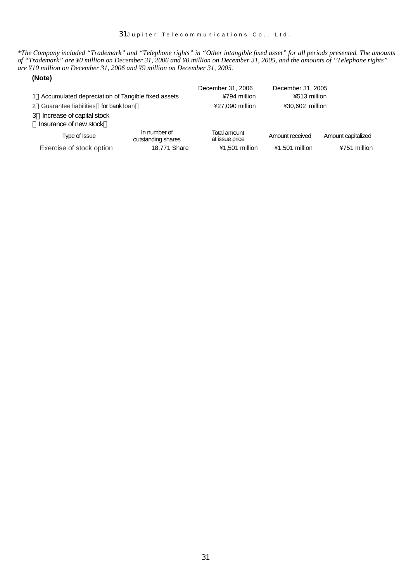*\*The Company included "Trademark" and "Telephone rights" in "Other intangible fixed asset" for all periods presented. The amounts of "Trademark" are ¥0 million on December 31, 2006 and ¥0 million on December 31, 2005, and the amounts of "Telephone rights" are ¥10 million on December 31, 2006 and ¥9 million on December 31, 2005.* 

#### **(Note)**

| 1 Accumulated depreciation of Tangible fixed assets |                                                       |                                    | December 31, 2006<br>¥794 million | December 31, 2005<br>¥513 million |                    |
|-----------------------------------------------------|-------------------------------------------------------|------------------------------------|-----------------------------------|-----------------------------------|--------------------|
|                                                     | 2 Guarantee liabilities for bank loan                 |                                    | ¥27,090 million                   | ¥30,602 million                   |                    |
|                                                     | 3 Increase of capital stock<br>Insurance of new stock |                                    |                                   |                                   |                    |
|                                                     | Type of Issue                                         | In number of<br>outstanding shares | Total amount<br>at issue price    | Amount received                   | Amount capitalized |
|                                                     | Exercise of stock option                              | 18,771 Share                       | ¥1,501 million                    | ¥1,501 million                    | ¥751 million       |
|                                                     |                                                       |                                    |                                   |                                   |                    |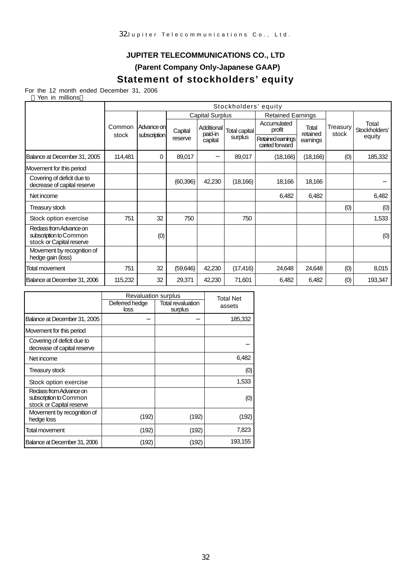# **JUPITER TELECOMMUNICATIONS CO., LTD**

**(Parent Company Only-Japanese GAAP)** 

# **Statement of stockholders' equity**

For the 12 month ended December 31, 2006

|                                                                              |                 | Stockholders' equity |                        |                       |                          |                                      |                   |                   |                        |
|------------------------------------------------------------------------------|-----------------|----------------------|------------------------|-----------------------|--------------------------|--------------------------------------|-------------------|-------------------|------------------------|
|                                                                              |                 |                      | <b>Capital Surplus</b> |                       | <b>Retained Earnings</b> |                                      |                   |                   |                        |
|                                                                              | Common<br>stock | Advance on           | Capital                | Additional<br>paid-in | Total capital            | Accumulated<br>profit                | Total<br>retained | Treasury<br>stock | Total<br>Stockholders' |
|                                                                              |                 | subscription         | reserve                | capital               | surplus                  | Retained earnings<br>carried forward | earnings          |                   | equity                 |
| Balance at December 31, 2005                                                 | 114,481         | 0                    | 89,017                 |                       | 89,017                   | (18, 166)                            | (18, 166)         | (0)               | 185,332                |
| Movement for this period                                                     |                 |                      |                        |                       |                          |                                      |                   |                   |                        |
| Covering of deficit due to<br>decrease of capital reserve                    |                 |                      | (60, 396)              | 42,230                | (18, 166)                | 18,166                               | 18,166            |                   |                        |
| Net income                                                                   |                 |                      |                        |                       |                          | 6,482                                | 6,482             |                   | 6,482                  |
| Treasury stock                                                               |                 |                      |                        |                       |                          |                                      |                   | (0)               | (0)                    |
| Stock option exercise                                                        | 751             | 32                   | 750                    |                       | 750                      |                                      |                   |                   | 1,533                  |
| Redass from Advance on<br>subscription to Common<br>stock or Capital reserve |                 | (0)                  |                        |                       |                          |                                      |                   |                   | (0)                    |
| Movement by recognition of<br>hedge gain (loss)                              |                 |                      |                        |                       |                          |                                      |                   |                   |                        |
| <b>Total movement</b>                                                        | 751             | 32                   | (59,646)               | 42,230                | (17, 416)                | 24,648                               | 24,648            | (0)               | 8,015                  |
| Balance at December 31, 2006                                                 | 115,232         | 32                   | 29,371                 | 42,230                | 71,601                   | 6,482                                | 6,482             | (0)               | 193,347                |

|                                                                              | <b>Revaluation surplus</b> | <b>Total Net</b>             |         |
|------------------------------------------------------------------------------|----------------------------|------------------------------|---------|
|                                                                              | Deferred hedge<br>loss     | Total revaluation<br>surplus | assets  |
| Balance at December 31, 2005                                                 |                            |                              | 185,332 |
| Movement for this period                                                     |                            |                              |         |
| Covering of deficit due to<br>decrease of capital reserve                    |                            |                              |         |
| Net income                                                                   |                            |                              | 6,482   |
| Treasury stock                                                               |                            |                              | (0)     |
| Stock option exercise                                                        |                            |                              | 1,533   |
| Redass from Advance on<br>subscription to Common<br>stock or Capital reserve |                            |                              | (0)     |
| Movement by recognition of<br>hedge loss                                     | (192)                      | (192)                        | (192)   |
| Total movement                                                               | (192)                      | (192)                        | 7,823   |
| Balance at December 31, 2006                                                 | (192)                      | (192)                        | 193,155 |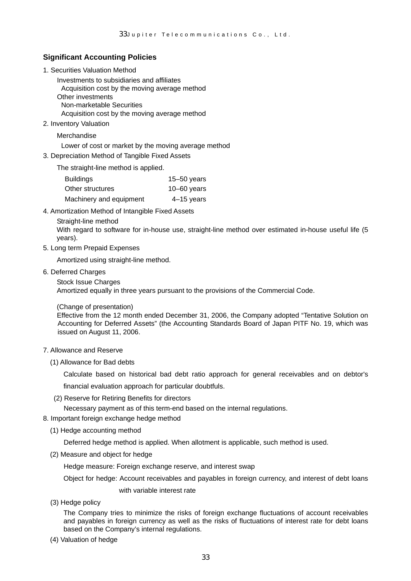#### **Significant Accounting Policies**

1. Securities Valuation Method

Investments to subsidiaries and affiliates Acquisition cost by the moving average method Other investments Non-marketable Securities Acquisition cost by the moving average method

2. Inventory Valuation

Merchandise

Lower of cost or market by the moving average method

- 3. Depreciation Method of Tangible Fixed Assets
	- The straight-line method is applied.

| <b>Buildings</b>        | $15 - 50$ years |
|-------------------------|-----------------|
| Other structures        | $10 - 60$ years |
| Machinery and equipment | $4-15$ years    |

- 4. Amortization Method of Intangible Fixed Assets
	- Straight-line method

With regard to software for in-house use, straight-line method over estimated in-house useful life (5 years).

5. Long term Prepaid Expenses

Amortized using straight-line method.

6. Deferred Charges

Stock Issue Charges Amortized equally in three years pursuant to the provisions of the Commercial Code.

(Change of presentation)

Effective from the 12 month ended December 31, 2006, the Company adopted "Tentative Solution on Accounting for Deferred Assets" (the Accounting Standards Board of Japan PITF No. 19, which was issued on August 11, 2006.

#### 7. Allowance and Reserve

(1) Allowance for Bad debts

Calculate based on historical bad debt ratio approach for general receivables and on debtor's financial evaluation approach for particular doubtfuls.

(2) Reserve for Retiring Benefits for directors

Necessary payment as of this term-end based on the internal regulations.

- 8. Important foreign exchange hedge method
	- (1) Hedge accounting method

Deferred hedge method is applied. When allotment is applicable, such method is used.

(2) Measure and object for hedge

Hedge measure: Foreign exchange reserve, and interest swap

Object for hedge: Account receivables and payables in foreign currency, and interest of debt loans

with variable interest rate

(3) Hedge policy

The Company tries to minimize the risks of foreign exchange fluctuations of account receivables and payables in foreign currency as well as the risks of fluctuations of interest rate for debt loans based on the Company's internal regulations.

(4) Valuation of hedge